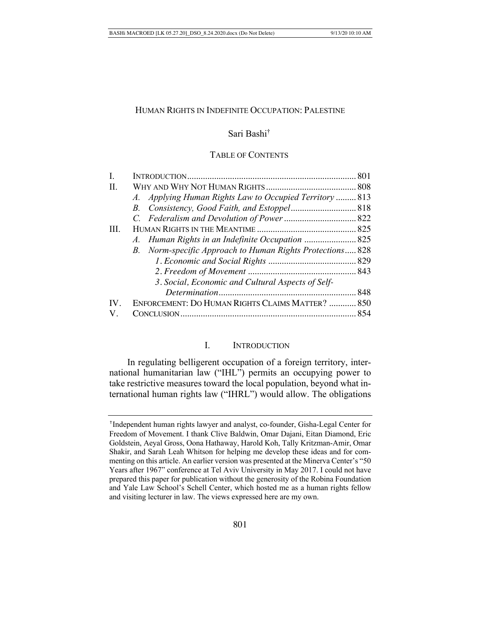### HUMAN RIGHTS IN INDEFINITE OCCUPATION: PALESTINE

# Sari Bashi†

# TABLE OF CONTENTS

| 3. Social, Economic and Cultural Aspects of Self- |                                                                                                                                                                          |
|---------------------------------------------------|--------------------------------------------------------------------------------------------------------------------------------------------------------------------------|
|                                                   |                                                                                                                                                                          |
|                                                   |                                                                                                                                                                          |
|                                                   |                                                                                                                                                                          |
|                                                   | A. Applying Human Rights Law to Occupied Territory  813<br>B. Norm-specific Approach to Human Rights Protections 828<br>ENFORCEMENT: DO HUMAN RIGHTS CLAIMS MATTER?  850 |

# I. INTRODUCTION

In regulating belligerent occupation of a foreign territory, international humanitarian law ("IHL") permits an occupying power to take restrictive measures toward the local population, beyond what international human rights law ("IHRL") would allow. The obligations

<sup>†</sup>Independent human rights lawyer and analyst, co-founder, Gisha-Legal Center for Freedom of Movement. I thank Clive Baldwin, Omar Dajani, Eitan Diamond, Eric Goldstein, Aeyal Gross, Oona Hathaway, Harold Koh, Tally Kritzman-Amir, Omar Shakir, and Sarah Leah Whitson for helping me develop these ideas and for commenting on this article. An earlier version was presented at the Minerva Center's "50 Years after 1967" conference at Tel Aviv University in May 2017. I could not have prepared this paper for publication without the generosity of the Robina Foundation and Yale Law School's Schell Center, which hosted me as a human rights fellow and visiting lecturer in law. The views expressed here are my own.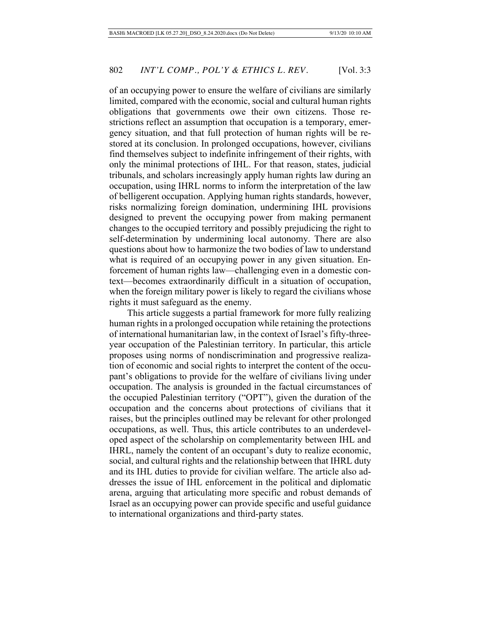of an occupying power to ensure the welfare of civilians are similarly limited, compared with the economic, social and cultural human rights obligations that governments owe their own citizens. Those restrictions reflect an assumption that occupation is a temporary, emergency situation, and that full protection of human rights will be restored at its conclusion. In prolonged occupations, however, civilians find themselves subject to indefinite infringement of their rights, with only the minimal protections of IHL. For that reason, states, judicial tribunals, and scholars increasingly apply human rights law during an occupation, using IHRL norms to inform the interpretation of the law of belligerent occupation. Applying human rights standards, however, risks normalizing foreign domination, undermining IHL provisions designed to prevent the occupying power from making permanent changes to the occupied territory and possibly prejudicing the right to self-determination by undermining local autonomy. There are also questions about how to harmonize the two bodies of law to understand what is required of an occupying power in any given situation. Enforcement of human rights law—challenging even in a domestic context—becomes extraordinarily difficult in a situation of occupation, when the foreign military power is likely to regard the civilians whose rights it must safeguard as the enemy.

This article suggests a partial framework for more fully realizing human rights in a prolonged occupation while retaining the protections of international humanitarian law, in the context of Israel's fifty-threeyear occupation of the Palestinian territory. In particular, this article proposes using norms of nondiscrimination and progressive realization of economic and social rights to interpret the content of the occupant's obligations to provide for the welfare of civilians living under occupation. The analysis is grounded in the factual circumstances of the occupied Palestinian territory ("OPT"), given the duration of the occupation and the concerns about protections of civilians that it raises, but the principles outlined may be relevant for other prolonged occupations, as well. Thus, this article contributes to an underdeveloped aspect of the scholarship on complementarity between IHL and IHRL, namely the content of an occupant's duty to realize economic, social, and cultural rights and the relationship between that IHRL duty and its IHL duties to provide for civilian welfare. The article also addresses the issue of IHL enforcement in the political and diplomatic arena, arguing that articulating more specific and robust demands of Israel as an occupying power can provide specific and useful guidance to international organizations and third-party states.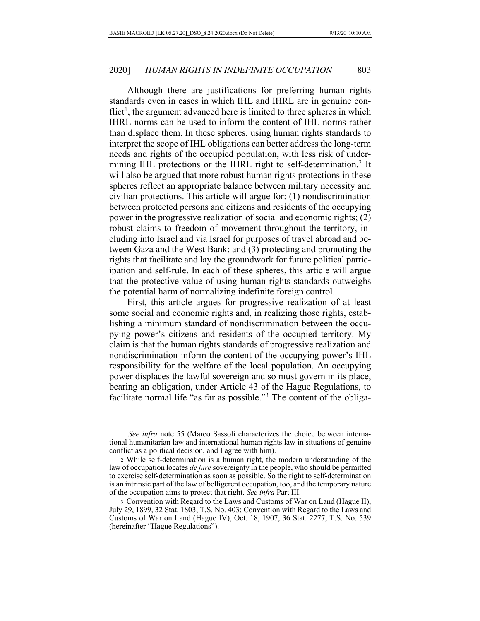Although there are justifications for preferring human rights standards even in cases in which IHL and IHRL are in genuine con $f$ lict<sup>1</sup>, the argument advanced here is limited to three spheres in which IHRL norms can be used to inform the content of IHL norms rather than displace them. In these spheres, using human rights standards to interpret the scope of IHL obligations can better address the long-term needs and rights of the occupied population, with less risk of undermining IHL protections or the IHRL right to self-determination.<sup>2</sup> It will also be argued that more robust human rights protections in these spheres reflect an appropriate balance between military necessity and civilian protections. This article will argue for: (1) nondiscrimination between protected persons and citizens and residents of the occupying power in the progressive realization of social and economic rights; (2) robust claims to freedom of movement throughout the territory, including into Israel and via Israel for purposes of travel abroad and between Gaza and the West Bank; and (3) protecting and promoting the rights that facilitate and lay the groundwork for future political participation and self-rule. In each of these spheres, this article will argue that the protective value of using human rights standards outweighs the potential harm of normalizing indefinite foreign control.

First, this article argues for progressive realization of at least some social and economic rights and, in realizing those rights, establishing a minimum standard of nondiscrimination between the occupying power's citizens and residents of the occupied territory. My claim is that the human rights standards of progressive realization and nondiscrimination inform the content of the occupying power's IHL responsibility for the welfare of the local population. An occupying power displaces the lawful sovereign and so must govern in its place, bearing an obligation, under Article 43 of the Hague Regulations, to facilitate normal life "as far as possible."3 The content of the obliga-

<sup>1</sup> *See infra* note 55 (Marco Sassoli characterizes the choice between international humanitarian law and international human rights law in situations of genuine conflict as a political decision, and I agree with him).

<sup>2</sup> While self-determination is a human right, the modern understanding of the law of occupation locates *de jure* sovereignty in the people, who should be permitted to exercise self-determination as soon as possible. So the right to self-determination is an intrinsic part of the law of belligerent occupation, too, and the temporary nature of the occupation aims to protect that right. *See infra* Part III.

<sup>3</sup> Convention with Regard to the Laws and Customs of War on Land (Hague II), July 29, 1899, 32 Stat. 1803, T.S. No. 403; Convention with Regard to the Laws and Customs of War on Land (Hague IV), Oct. 18, 1907, 36 Stat. 2277, T.S. No. 539 (hereinafter "Hague Regulations").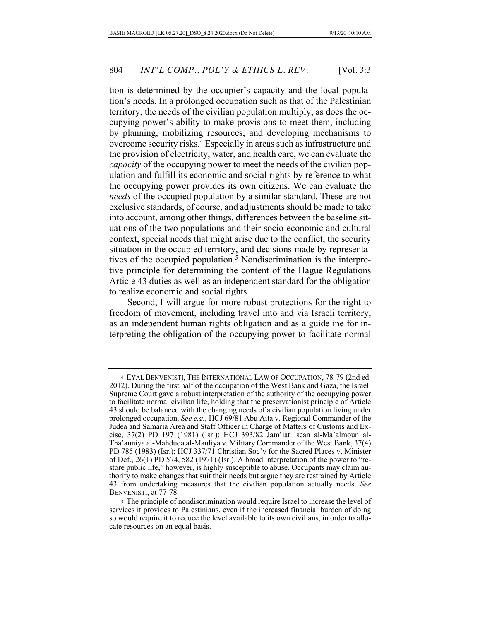tion is determined by the occupier's capacity and the local population's needs. In a prolonged occupation such as that of the Palestinian territory, the needs of the civilian population multiply, as does the occupying power's ability to make provisions to meet them, including by planning, mobilizing resources, and developing mechanisms to overcome security risks.<sup>4</sup> Especially in areas such as infrastructure and the provision of electricity, water, and health care, we can evaluate the *capacity* of the occupying power to meet the needs of the civilian population and fulfill its economic and social rights by reference to what the occupying power provides its own citizens. We can evaluate the *needs* of the occupied population by a similar standard. These are not exclusive standards, of course, and adjustments should be made to take into account, among other things, differences between the baseline situations of the two populations and their socio-economic and cultural context, special needs that might arise due to the conflict, the security situation in the occupied territory, and decisions made by representatives of the occupied population.<sup>5</sup> Nondiscrimination is the interpretive principle for determining the content of the Hague Regulations Article 43 duties as well as an independent standard for the obligation to realize economic and social rights.

Second, I will argue for more robust protections for the right to freedom of movement, including travel into and via Israeli territory, as an independent human rights obligation and as a guideline for interpreting the obligation of the occupying power to facilitate normal

<sup>4</sup> EYAL BENVENISTI, THE INTERNATIONAL LAW OF OCCUPATION, 78-79 (2nd ed. 2012). During the first half of the occupation of the West Bank and Gaza, the Israeli Supreme Court gave a robust interpretation of the authority of the occupying power to facilitate normal civilian life, holding that the preservationist principle of Article 43 should be balanced with the changing needs of a civilian population living under prolonged occupation. *See e.g.*, HCJ 69/81 Abu Aita v. Regional Commander of the Judea and Samaria Area and Staff Officer in Charge of Matters of Customs and Excise, 37(2) PD 197 (1981) (Isr.); HCJ 393/82 Jam'iat Iscan al-Ma'almoun al-Tha'auniya al-Mahduda al-Mauliya v. Military Commander of the West Bank, 37(4) PD 785 (1983) (Isr.); HCJ 337/71 Christian Soc'y for the Sacred Places v. Minister of Def., 26(1) PD 574, 582 (1971) (Isr.). A broad interpretation of the power to "restore public life," however, is highly susceptible to abuse. Occupants may claim authority to make changes that suit their needs but argue they are restrained by Article 43 from undertaking measures that the civilian population actually needs. *See* BENVENISTI, at 77-78.

<sup>5</sup> The principle of nondiscrimination would require Israel to increase the level of services it provides to Palestinians, even if the increased financial burden of doing so would require it to reduce the level available to its own civilians, in order to allocate resources on an equal basis.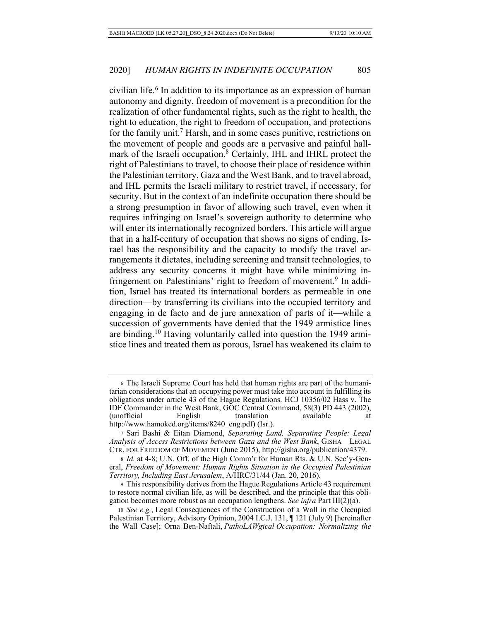civilian life.<sup>6</sup> In addition to its importance as an expression of human autonomy and dignity, freedom of movement is a precondition for the realization of other fundamental rights, such as the right to health, the right to education, the right to freedom of occupation, and protections for the family unit.<sup>7</sup> Harsh, and in some cases punitive, restrictions on the movement of people and goods are a pervasive and painful hallmark of the Israeli occupation.<sup>8</sup> Certainly, IHL and IHRL protect the right of Palestinians to travel, to choose their place of residence within the Palestinian territory, Gaza and the West Bank, and to travel abroad, and IHL permits the Israeli military to restrict travel, if necessary, for security. But in the context of an indefinite occupation there should be a strong presumption in favor of allowing such travel, even when it requires infringing on Israel's sovereign authority to determine who will enter its internationally recognized borders. This article will argue that in a half-century of occupation that shows no signs of ending, Israel has the responsibility and the capacity to modify the travel arrangements it dictates, including screening and transit technologies, to address any security concerns it might have while minimizing infringement on Palestinians' right to freedom of movement.<sup>9</sup> In addition, Israel has treated its international borders as permeable in one direction—by transferring its civilians into the occupied territory and engaging in de facto and de jure annexation of parts of it—while a succession of governments have denied that the 1949 armistice lines are binding.10 Having voluntarily called into question the 1949 armistice lines and treated them as porous, Israel has weakened its claim to

<sup>6</sup> The Israeli Supreme Court has held that human rights are part of the humanitarian considerations that an occupying power must take into account in fulfilling its obligations under article 43 of the Hague Regulations. HCJ 10356/02 Hass v. The IDF Commander in the West Bank, GOC Central Command, 58(3) PD 443 (2002), (unofficial English translation available at http://www.hamoked.org/items/8240\_eng.pdf) (Isr.).

<sup>7</sup> Sari Bashi & Eitan Diamond, *Separating Land, Separating People: Legal Analysis of Access Restrictions between Gaza and the West Bank*, GISHA—LEGAL CTR. FOR FREEDOM OF MOVEMENT (June 2015), http://gisha.org/publication/4379.

<sup>8</sup> *Id.* at 4-8; U.N. Off. of the High Comm'r for Human Rts. & U.N. Sec'y-General, *Freedom of Movement: Human Rights Situation in the Occupied Palestinian Territory, Including East Jerusalem*, A/HRC/31/44 (Jan. 20, 2016).

<sup>9</sup> This responsibility derives from the Hague Regulations Article 43 requirement to restore normal civilian life, as will be described, and the principle that this obligation becomes more robust as an occupation lengthens. *See infra* Part III(2)(a).

<sup>10</sup> *See e.g.*, Legal Consequences of the Construction of a Wall in the Occupied Palestinian Territory, Advisory Opinion, 2004 I.C.J. 131, ¶ 121 (July 9) [hereinafter the Wall Case]; Orna Ben-Naftali, *PathoLAWgical Occupation: Normalizing the*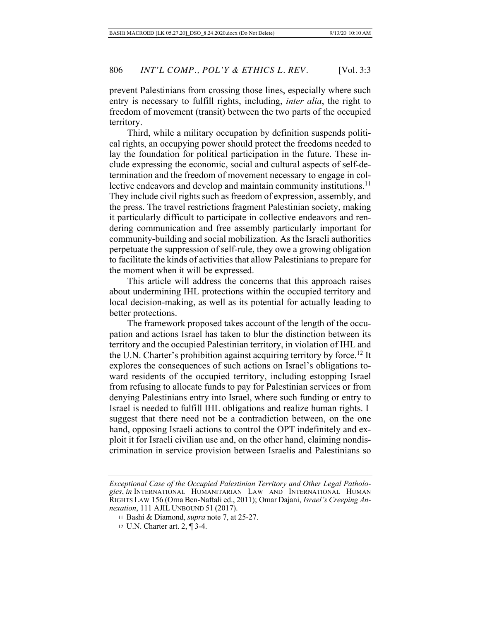prevent Palestinians from crossing those lines, especially where such entry is necessary to fulfill rights, including, *inter alia*, the right to freedom of movement (transit) between the two parts of the occupied territory.

Third, while a military occupation by definition suspends political rights, an occupying power should protect the freedoms needed to lay the foundation for political participation in the future. These include expressing the economic, social and cultural aspects of self-determination and the freedom of movement necessary to engage in collective endeavors and develop and maintain community institutions.<sup>11</sup> They include civil rights such as freedom of expression, assembly, and the press. The travel restrictions fragment Palestinian society, making it particularly difficult to participate in collective endeavors and rendering communication and free assembly particularly important for community-building and social mobilization. As the Israeli authorities perpetuate the suppression of self-rule, they owe a growing obligation to facilitate the kinds of activities that allow Palestinians to prepare for the moment when it will be expressed.

This article will address the concerns that this approach raises about undermining IHL protections within the occupied territory and local decision-making, as well as its potential for actually leading to better protections.

The framework proposed takes account of the length of the occupation and actions Israel has taken to blur the distinction between its territory and the occupied Palestinian territory, in violation of IHL and the U.N. Charter's prohibition against acquiring territory by force.12 It explores the consequences of such actions on Israel's obligations toward residents of the occupied territory, including estopping Israel from refusing to allocate funds to pay for Palestinian services or from denying Palestinians entry into Israel, where such funding or entry to Israel is needed to fulfill IHL obligations and realize human rights. I suggest that there need not be a contradiction between, on the one hand, opposing Israeli actions to control the OPT indefinitely and exploit it for Israeli civilian use and, on the other hand, claiming nondiscrimination in service provision between Israelis and Palestinians so

*Exceptional Case of the Occupied Palestinian Territory and Other Legal Pathologies*, *in* INTERNATIONAL HUMANITARIAN LAW AND INTERNATIONAL HUMAN RIGHTS LAW 156 (Orna Ben-Naftali ed., 2011); Omar Dajani, *Israel's Creeping Annexation*, 111 AJIL UNBOUND 51 (2017).

<sup>11</sup> Bashi & Diamond, *supra* note 7, at 25-27.

<sup>12</sup> U.N. Charter art. 2, ¶ 3-4.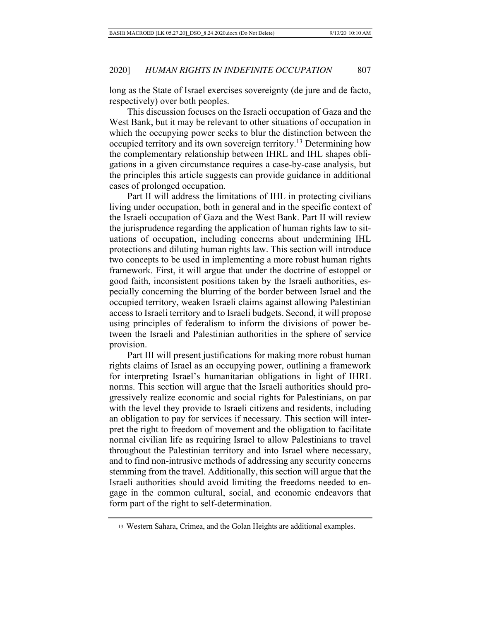long as the State of Israel exercises sovereignty (de jure and de facto, respectively) over both peoples.

This discussion focuses on the Israeli occupation of Gaza and the West Bank, but it may be relevant to other situations of occupation in which the occupying power seeks to blur the distinction between the occupied territory and its own sovereign territory.<sup>13</sup> Determining how the complementary relationship between IHRL and IHL shapes obligations in a given circumstance requires a case-by-case analysis, but the principles this article suggests can provide guidance in additional cases of prolonged occupation.

Part II will address the limitations of IHL in protecting civilians living under occupation, both in general and in the specific context of the Israeli occupation of Gaza and the West Bank. Part II will review the jurisprudence regarding the application of human rights law to situations of occupation, including concerns about undermining IHL protections and diluting human rights law. This section will introduce two concepts to be used in implementing a more robust human rights framework. First, it will argue that under the doctrine of estoppel or good faith, inconsistent positions taken by the Israeli authorities, especially concerning the blurring of the border between Israel and the occupied territory, weaken Israeli claims against allowing Palestinian access to Israeli territory and to Israeli budgets. Second, it will propose using principles of federalism to inform the divisions of power between the Israeli and Palestinian authorities in the sphere of service provision.

Part III will present justifications for making more robust human rights claims of Israel as an occupying power, outlining a framework for interpreting Israel's humanitarian obligations in light of IHRL norms. This section will argue that the Israeli authorities should progressively realize economic and social rights for Palestinians, on par with the level they provide to Israeli citizens and residents, including an obligation to pay for services if necessary. This section will interpret the right to freedom of movement and the obligation to facilitate normal civilian life as requiring Israel to allow Palestinians to travel throughout the Palestinian territory and into Israel where necessary, and to find non-intrusive methods of addressing any security concerns stemming from the travel. Additionally, this section will argue that the Israeli authorities should avoid limiting the freedoms needed to engage in the common cultural, social, and economic endeavors that form part of the right to self-determination.

<sup>13</sup> Western Sahara, Crimea, and the Golan Heights are additional examples.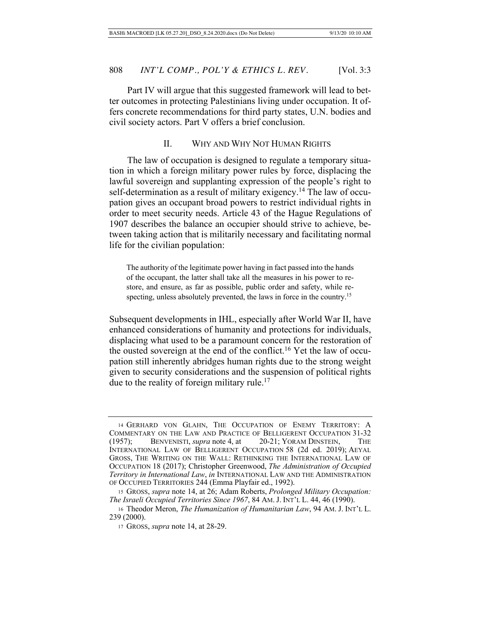Part IV will argue that this suggested framework will lead to better outcomes in protecting Palestinians living under occupation. It offers concrete recommendations for third party states, U.N. bodies and civil society actors. Part V offers a brief conclusion.

### II. WHY AND WHY NOT HUMAN RIGHTS

The law of occupation is designed to regulate a temporary situation in which a foreign military power rules by force, displacing the lawful sovereign and supplanting expression of the people's right to self-determination as a result of military exigency.<sup>14</sup> The law of occupation gives an occupant broad powers to restrict individual rights in order to meet security needs. Article 43 of the Hague Regulations of 1907 describes the balance an occupier should strive to achieve, between taking action that is militarily necessary and facilitating normal life for the civilian population:

The authority of the legitimate power having in fact passed into the hands of the occupant, the latter shall take all the measures in his power to restore, and ensure, as far as possible, public order and safety, while respecting, unless absolutely prevented, the laws in force in the country.<sup>15</sup>

Subsequent developments in IHL, especially after World War II, have enhanced considerations of humanity and protections for individuals, displacing what used to be a paramount concern for the restoration of the ousted sovereign at the end of the conflict.<sup>16</sup> Yet the law of occupation still inherently abridges human rights due to the strong weight given to security considerations and the suspension of political rights due to the reality of foreign military rule.<sup>17</sup>

<sup>14</sup> GERHARD VON GLAHN, THE OCCUPATION OF ENEMY TERRITORY: A COMMENTARY ON THE LAW AND PRACTICE OF BELLIGERENT OCCUPATION 31-32 (1957); BENVENISTI, *supra* note 4, at 20-21; YORAM DINSTEIN, THE INTERNATIONAL LAW OF BELLIGERENT OCCUPATION 58 (2d ed. 2019); AEYAL GROSS, THE WRITING ON THE WALL: RETHINKING THE INTERNATIONAL LAW OF OCCUPATION 18 (2017); Christopher Greenwood, *The Administration of Occupied Territory in International Law*, *in* INTERNATIONAL LAW AND THE ADMINISTRATION OF OCCUPIED TERRITORIES 244 (Emma Playfair ed., 1992).

<sup>15</sup> GROSS, *supra* note 14, at 26; Adam Roberts, *Prolonged Military Occupation: The Israeli Occupied Territories Since 1967*, 84 AM. J. INT'L L. 44, 46 (1990).

<sup>16</sup> Theodor Meron, *The Humanization of Humanitarian Law*, 94 AM. J. INT'L L. 239 (2000).

<sup>17</sup> GROSS, *supra* note 14, at 28-29.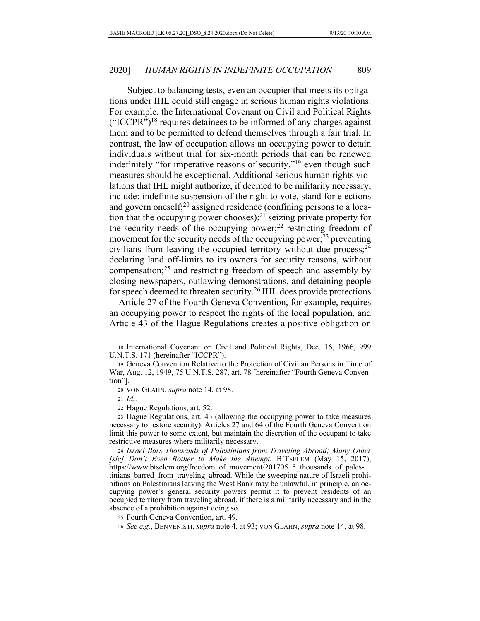Subject to balancing tests, even an occupier that meets its obligations under IHL could still engage in serious human rights violations. For example, the International Covenant on Civil and Political Rights  $("ICCPR")<sup>18</sup>$  requires detainees to be informed of any charges against them and to be permitted to defend themselves through a fair trial. In contrast, the law of occupation allows an occupying power to detain individuals without trial for six-month periods that can be renewed indefinitely "for imperative reasons of security,"19 even though such measures should be exceptional. Additional serious human rights violations that IHL might authorize, if deemed to be militarily necessary, include: indefinite suspension of the right to vote, stand for elections and govern oneself; $^{20}$  assigned residence (confining persons to a location that the occupying power chooses);<sup>21</sup> seizing private property for the security needs of the occupying power; $^{22}$  restricting freedom of movement for the security needs of the occupying power;<sup>23</sup> preventing civilians from leaving the occupied territory without due process;  $24$ declaring land off-limits to its owners for security reasons, without compensation;25 and restricting freedom of speech and assembly by closing newspapers, outlawing demonstrations, and detaining people for speech deemed to threaten security.26 IHL does provide protections —Article 27 of the Fourth Geneva Convention, for example, requires an occupying power to respect the rights of the local population, and Article 43 of the Hague Regulations creates a positive obligation on

<sup>21</sup> *Id.*.

<sup>22</sup> Hague Regulations, art. 52.

<sup>23</sup> Hague Regulations, art. 43 (allowing the occupying power to take measures necessary to restore security). Articles 27 and 64 of the Fourth Geneva Convention limit this power to some extent, but maintain the discretion of the occupant to take restrictive measures where militarily necessary.

<sup>24</sup> *Israel Bars Thousands of Palestinians from Traveling Abroad; Many Other [sic] Don't Even Bother to Make the Attempt*, B'TSELEM (May 15, 2017), https://www.btselem.org/freedom\_of\_movement/20170515\_thousands\_of\_palestinians barred from traveling abroad. While the sweeping nature of Israeli prohibitions on Palestinians leaving the West Bank may be unlawful, in principle, an occupying power's general security powers permit it to prevent residents of an occupied territory from traveling abroad, if there is a militarily necessary and in the absence of a prohibition against doing so.

<sup>18</sup> International Covenant on Civil and Political Rights, Dec. 16, 1966, 999 U.N.T.S. 171 (hereinafter "ICCPR").

<sup>19</sup> Geneva Convention Relative to the Protection of Civilian Persons in Time of War, Aug. 12, 1949, 75 U.N.T.S. 287, art. 78 [hereinafter "Fourth Geneva Convention"].

<sup>20</sup> VON GLAHN, *supra* note 14, at 98.

<sup>25</sup> Fourth Geneva Convention, art. 49.

<sup>26</sup> *See e.g.*, BENVENISTI, *supra* note 4, at 93; VON GLAHN, *supra* note 14, at 98.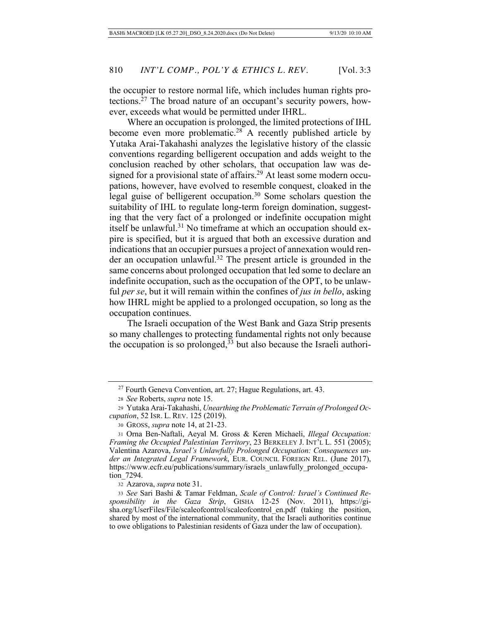the occupier to restore normal life, which includes human rights protections.27 The broad nature of an occupant's security powers, however, exceeds what would be permitted under IHRL.

Where an occupation is prolonged, the limited protections of IHL become even more problematic.<sup>28</sup> A recently published article by Yutaka Arai-Takahashi analyzes the legislative history of the classic conventions regarding belligerent occupation and adds weight to the conclusion reached by other scholars, that occupation law was designed for a provisional state of affairs.<sup>29</sup> At least some modern occupations, however, have evolved to resemble conquest, cloaked in the legal guise of belligerent occupation.<sup>30</sup> Some scholars question the suitability of IHL to regulate long-term foreign domination, suggesting that the very fact of a prolonged or indefinite occupation might itself be unlawful.<sup>31</sup> No timeframe at which an occupation should expire is specified, but it is argued that both an excessive duration and indications that an occupier pursues a project of annexation would render an occupation unlawful.32 The present article is grounded in the same concerns about prolonged occupation that led some to declare an indefinite occupation, such as the occupation of the OPT, to be unlawful *per se*, but it will remain within the confines of *jus in bello*, asking how IHRL might be applied to a prolonged occupation, so long as the occupation continues.

The Israeli occupation of the West Bank and Gaza Strip presents so many challenges to protecting fundamental rights not only because the occupation is so prolonged, $33$  but also because the Israeli authori-

<sup>27</sup> Fourth Geneva Convention, art. 27; Hague Regulations, art. 43.

<sup>28</sup> *See* Roberts, *supra* note 15.

<sup>29</sup> Yutaka Arai-Takahashi, *Unearthing the Problematic Terrain of Prolonged Occupation*, 52 ISR. L. REV. 125 (2019).

<sup>30</sup> GROSS, *supra* note 14, at 21-23.

<sup>31</sup> Orna Ben-Naftali, Aeyal M. Gross & Keren Michaeli, *Illegal Occupation: Framing the Occupied Palestinian Territory*, 23 BERKELEY J. INT'L L. 551 (2005); Valentina Azarova, *Israel's Unlawfully Prolonged Occupation: Consequences under an Integrated Legal Framework*, EUR. COUNCIL FOREIGN REL. (June 2017), https://www.ecfr.eu/publications/summary/israels\_unlawfully\_prolonged\_occupation\_7294.

<sup>32</sup> Azarova, *supra* note 31.

<sup>33</sup> *See* Sari Bashi & Tamar Feldman, *Scale of Control: Israel's Continued Responsibility in the Gaza Strip*, GISHA 12-25 (Nov. 2011), https://gisha.org/UserFiles/File/scaleofcontrol/scaleofcontrol\_en.pdf (taking the position, shared by most of the international community, that the Israeli authorities continue to owe obligations to Palestinian residents of Gaza under the law of occupation).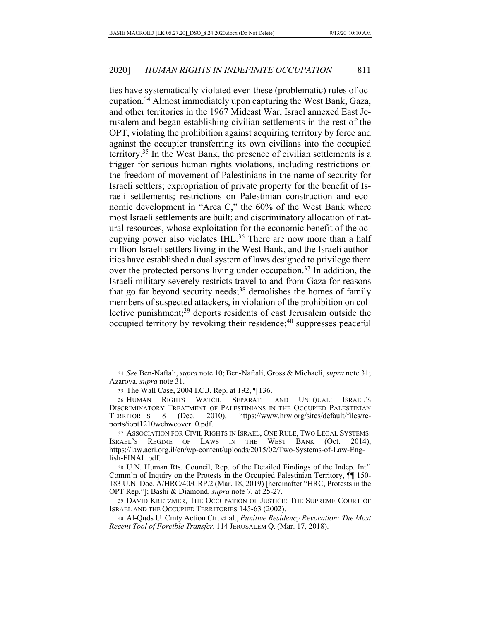ties have systematically violated even these (problematic) rules of occupation.34 Almost immediately upon capturing the West Bank, Gaza, and other territories in the 1967 Mideast War, Israel annexed East Jerusalem and began establishing civilian settlements in the rest of the OPT, violating the prohibition against acquiring territory by force and against the occupier transferring its own civilians into the occupied territory.35 In the West Bank, the presence of civilian settlements is a trigger for serious human rights violations, including restrictions on the freedom of movement of Palestinians in the name of security for Israeli settlers; expropriation of private property for the benefit of Israeli settlements; restrictions on Palestinian construction and economic development in "Area C," the 60% of the West Bank where most Israeli settlements are built; and discriminatory allocation of natural resources, whose exploitation for the economic benefit of the occupying power also violates IHL.<sup>36</sup> There are now more than a half million Israeli settlers living in the West Bank, and the Israeli authorities have established a dual system of laws designed to privilege them over the protected persons living under occupation.37 In addition, the Israeli military severely restricts travel to and from Gaza for reasons that go far beyond security needs;<sup>38</sup> demolishes the homes of family members of suspected attackers, in violation of the prohibition on collective punishment;<sup>39</sup> deports residents of east Jerusalem outside the occupied territory by revoking their residence; $40$  suppresses peaceful

<sup>34</sup> *See* Ben-Naftali, *supra* note 10; Ben-Naftali, Gross & Michaeli, *supra* note 31; Azarova, *supra* note 31.

<sup>35</sup> The Wall Case, 2004 I.C.J. Rep. at 192, ¶ 136.

<sup>36</sup> HUMAN RIGHTS WATCH, SEPARATE AND UNEQUAL: ISRAEL'S DISCRIMINATORY TREATMENT OF PALESTINIANS IN THE OCCUPIED PALESTINIAN TERRITORIES 8 (Dec. 2010), https://www.hrw.org/sites/default/files/reports/iopt1210webwcover\_0.pdf.

<sup>37</sup> ASSOCIATION FOR CIVIL RIGHTS IN ISRAEL, ONE RULE, TWO LEGAL SYSTEMS: ISRAEL'S REGIME OF LAWS IN THE WEST BANK (Oct. 2014), https://law.acri.org.il/en/wp-content/uploads/2015/02/Two-Systems-of-Law-English-FINAL.pdf.

<sup>38</sup> U.N. Human Rts. Council, Rep. of the Detailed Findings of the Indep. Int'l Comm'n of Inquiry on the Protests in the Occupied Palestinian Territory, ¶¶ 150- 183 U.N. Doc. A/HRC/40/CRP.2 (Mar. 18, 2019) [hereinafter "HRC, Protests in the OPT Rep."]; Bashi & Diamond, *supra* note 7, at 25-27.

<sup>39</sup> DAVID KRETZMER, THE OCCUPATION OF JUSTICE: THE SUPREME COURT OF ISRAEL AND THE OCCUPIED TERRITORIES 145-63 (2002).

<sup>40</sup> Al-Quds U. Cmty Action Ctr. et al., *Punitive Residency Revocation: The Most Recent Tool of Forcible Transfer*, 114 JERUSALEM Q. (Mar. 17, 2018).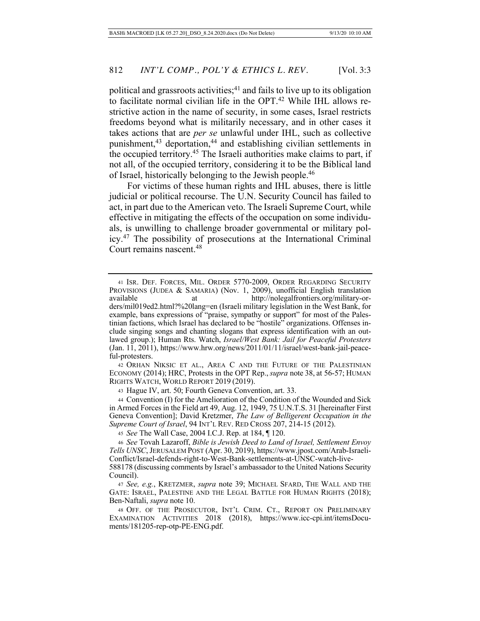political and grassroots activities; $41$  and fails to live up to its obligation to facilitate normal civilian life in the OPT.42 While IHL allows restrictive action in the name of security, in some cases, Israel restricts freedoms beyond what is militarily necessary, and in other cases it takes actions that are *per se* unlawful under IHL, such as collective punishment,<sup>43</sup> deportation,<sup>44</sup> and establishing civilian settlements in the occupied territory.45 The Israeli authorities make claims to part, if not all, of the occupied territory, considering it to be the Biblical land of Israel, historically belonging to the Jewish people.46

For victims of these human rights and IHL abuses, there is little judicial or political recourse. The U.N. Security Council has failed to act, in part due to the American veto. The Israeli Supreme Court, while effective in mitigating the effects of the occupation on some individuals, is unwilling to challenge broader governmental or military policy. 47 The possibility of prosecutions at the International Criminal Court remains nascent.48

42 ORHAN NIKSIC ET AL., AREA C AND THE FUTURE OF THE PALESTINIAN ECONOMY (2014); HRC, Protests in the OPT Rep., *supra* note 38, at 56-57; HUMAN RIGHTS WATCH, WORLD REPORT 2019 (2019).

<sup>43</sup> Hague IV, art. 50; Fourth Geneva Convention, art. 33.

<sup>44</sup> Convention (I) for the Amelioration of the Condition of the Wounded and Sick in Armed Forces in the Field art 49, Aug. 12, 1949, 75 U.N.T.S. 31 [hereinafter First Geneva Convention]; David Kretzmer, *The Law of Belligerent Occupation in the Supreme Court of Israel*, 94 INT'L REV. RED CROSS 207, 214-15 (2012).

<sup>45</sup> *See* The Wall Case, 2004 I.C.J. Rep. at 184, ¶ 120.

<sup>46</sup> *See* Tovah Lazaroff, *Bible is Jewish Deed to Land of Israel, Settlement Envoy Tells UNSC*, JERUSALEM POST (Apr. 30, 2019), https://www.jpost.com/Arab-Israeli-Conflict/Israel-defends-right-to-West-Bank-settlements-at-UNSC-watch-live-

588178 (discussing comments by Israel's ambassador to the United Nations Security Council).

<sup>47</sup> *See, e.g.*, KRETZMER, *supra* note 39; MICHAEL SFARD, THE WALL AND THE GATE: ISRAEL, PALESTINE AND THE LEGAL BATTLE FOR HUMAN RIGHTS (2018); Ben-Naftali, *supra* note 10.

<sup>48</sup> OFF. OF THE PROSECUTOR, INT'L CRIM. CT., REPORT ON PRELIMINARY EXAMINATION ACTIVITIES 2018 (2018), https://www.icc-cpi.int/itemsDocuments/181205-rep-otp-PE-ENG.pdf.

<sup>41</sup> ISR. DEF. FORCES, MIL. ORDER 5770-2009, ORDER REGARDING SECURITY PROVISIONS (JUDEA & SAMARIA) (Nov. 1, 2009), unofficial English translation available at http://nolegalfrontiers.org/military-orders/mil019ed2.html?%20lang=en (Israeli military legislation in the West Bank, for example, bans expressions of "praise, sympathy or support" for most of the Palestinian factions, which Israel has declared to be "hostile" organizations. Offenses include singing songs and chanting slogans that express identification with an outlawed group.); Human Rts. Watch, *Israel/West Bank: Jail for Peaceful Protesters*  (Jan. 11, 2011), https://www.hrw.org/news/2011/01/11/israel/west-bank-jail-peaceful-protesters.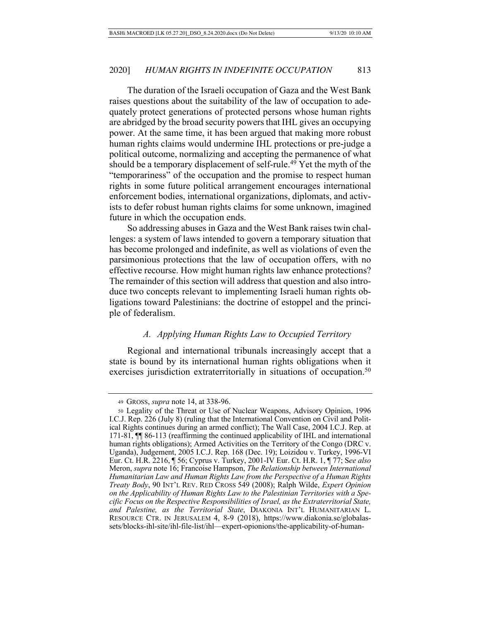The duration of the Israeli occupation of Gaza and the West Bank raises questions about the suitability of the law of occupation to adequately protect generations of protected persons whose human rights are abridged by the broad security powers that IHL gives an occupying power. At the same time, it has been argued that making more robust human rights claims would undermine IHL protections or pre-judge a political outcome, normalizing and accepting the permanence of what should be a temporary displacement of self-rule.<sup>49</sup> Yet the myth of the "temporariness" of the occupation and the promise to respect human rights in some future political arrangement encourages international enforcement bodies, international organizations, diplomats, and activists to defer robust human rights claims for some unknown, imagined future in which the occupation ends.

So addressing abuses in Gaza and the West Bank raises twin challenges: a system of laws intended to govern a temporary situation that has become prolonged and indefinite, as well as violations of even the parsimonious protections that the law of occupation offers, with no effective recourse. How might human rights law enhance protections? The remainder of this section will address that question and also introduce two concepts relevant to implementing Israeli human rights obligations toward Palestinians: the doctrine of estoppel and the principle of federalism.

# *A. Applying Human Rights Law to Occupied Territory*

Regional and international tribunals increasingly accept that a state is bound by its international human rights obligations when it exercises jurisdiction extraterritorially in situations of occupation.<sup>50</sup>

<sup>49</sup> GROSS, *supra* note 14, at 338-96.

<sup>50</sup> Legality of the Threat or Use of Nuclear Weapons, Advisory Opinion, 1996 I.C.J. Rep. 226 (July 8) (ruling that the International Convention on Civil and Political Rights continues during an armed conflict); The Wall Case, 2004 I.C.J. Rep. at 171-81, ¶¶ 86-113 (reaffirming the continued applicability of IHL and international human rights obligations); Armed Activities on the Territory of the Congo (DRC v. Uganda), Judgement, 2005 I.C.J. Rep. 168 (Dec. 19); Loizidou v. Turkey, 1996-VI Eur. Ct. H.R. 2216, ¶ 56; Cyprus v. Turkey, 2001-IV Eur. Ct. H.R. 1, ¶ 77; S*ee also*  Meron, *supra* note 16; Francoise Hampson, *The Relationship between International Humanitarian Law and Human Rights Law from the Perspective of a Human Rights Treaty Body*, 90 INT'L REV. RED CROSS 549 (2008); Ralph Wilde, *Expert Opinion on the Applicability of Human Rights Law to the Palestinian Territories with a Specific Focus on the Respective Responsibilities of Israel, as the Extraterritorial State, and Palestine, as the Territorial State*, DIAKONIA INT'L HUMANITARIAN L. RESOURCE CTR. IN JERUSALEM 4, 8-9 (2018), https://www.diakonia.se/globalassets/blocks-ihl-site/ihl-file-list/ihl—expert-opionions/the-applicability-of-human-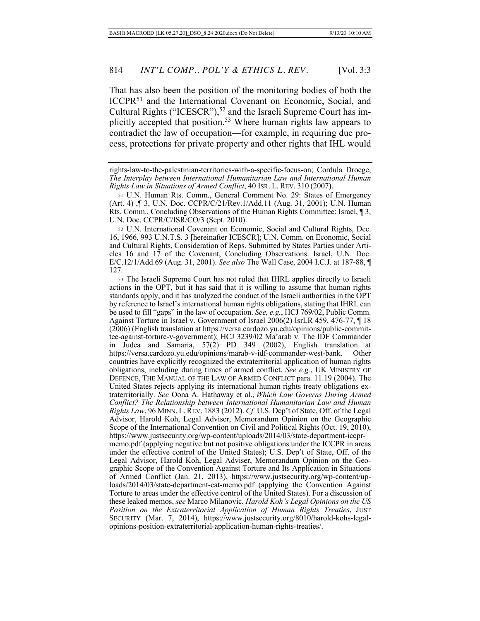That has also been the position of the monitoring bodies of both the ICCPR51 and the International Covenant on Economic, Social, and Cultural Rights ("ICESCR"),<sup>52</sup> and the Israeli Supreme Court has implicitly accepted that position.53 Where human rights law appears to contradict the law of occupation—for example, in requiring due process, protections for private property and other rights that IHL would

<sup>52</sup> U.N. International Covenant on Economic, Social and Cultural Rights, Dec. 16, 1966, 993 U.N.T.S. 3 [hereinafter ICESCR]; U.N. Comm. on Economic, Social and Cultural Rights, Consideration of Reps. Submitted by States Parties under Articles 16 and 17 of the Covenant, Concluding Observations: Israel, U.N. Doc. E/C.12/1/Add.69 (Aug. 31, 2001). *See also* The Wall Case, 2004 I.C.J. at 187-88, ¶ 127.

<sup>53</sup> The Israeli Supreme Court has not ruled that IHRL applies directly to Israeli actions in the OPT, but it has said that it is willing to assume that human rights standards apply, and it has analyzed the conduct of the Israeli authorities in the OPT by reference to Israel's international human rights obligations, stating that IHRL can be used to fill "gaps" in the law of occupation. *See, e.g.*, HCJ 769/02, Public Comm. Against Torture in Israel v. Government of Israel 2006(2) IsrLR 459, 476-77, ¶ 18 (2006) (English translation at https://versa.cardozo.yu.edu/opinions/public-committee-against-torture-v-government); HCJ 3239/02 Ma'arab v. The IDF Commander in Judea and Samaria, 57(2) PD 349 (2002), English translation at https://versa.cardozo.yu.edu/opinions/marab-v-idf-commander-west-bank. Other countries have explicitly recognized the extraterritorial application of human rights obligations, including during times of armed conflict. *See e.g.*, UK MINISTRY OF DEFENCE, THE MANUAL OF THE LAW OF ARMED CONFLICT para. 11.19 (2004). The United States rejects applying its international human rights treaty obligations extraterritorially. *See* Oona A. Hathaway et al., *Which Law Governs During Armed Conflict? The Relationship between International Humanitarian Law and Human Rights Law*, 96 MINN. L.REV. 1883 (2012). *Cf.* U.S. Dep't of State, Off. of the Legal Advisor, Harold Koh, Legal Adviser, Memorandum Opinion on the Geographic Scope of the International Convention on Civil and Political Rights (Oct. 19, 2010), https://www.justsecurity.org/wp-content/uploads/2014/03/state-department-iccprmemo.pdf (applying negative but not positive obligations under the ICCPR in areas under the effective control of the United States); U.S. Dep't of State, Off. of the Legal Advisor, Harold Koh, Legal Adviser, Memorandum Opinion on the Geographic Scope of the Convention Against Torture and Its Application in Situations of Armed Conflict (Jan. 21, 2013), https://www.justsecurity.org/wp-content/uploads/2014/03/state-department-cat-memo.pdf (applying the Convention Against Torture to areas under the effective control of the United States). For a discussion of these leaked memos, *see* Marco Milanovic, *Harold Koh's Legal Opinions on the US Position on the Extraterritorial Application of Human Rights Treaties*, JUST SECURITY (Mar. 7, 2014), https://www.justsecurity.org/8010/harold-kohs-legalopinions-position-extraterritorial-application-human-rights-treaties/.

rights-law-to-the-palestinian-territories-with-a-specific-focus-on; Cordula Droege, *The Interplay between International Humanitarian Law and International Human Rights Law in Situations of Armed Conflict*, 40 ISR. L. REV. 310 (2007).

<sup>51</sup> U.N. Human Rts. Comm., General Comment No. 29: States of Emergency (Art. 4) ,¶ 3, U.N. Doc. CCPR/C/21/Rev.1/Add.11 (Aug. 31, 2001); U.N. Human Rts. Comm., Concluding Observations of the Human Rights Committee: Israel, ¶ 3, U.N. Doc. CCPR/C/ISR/CO/3 (Sept. 2010).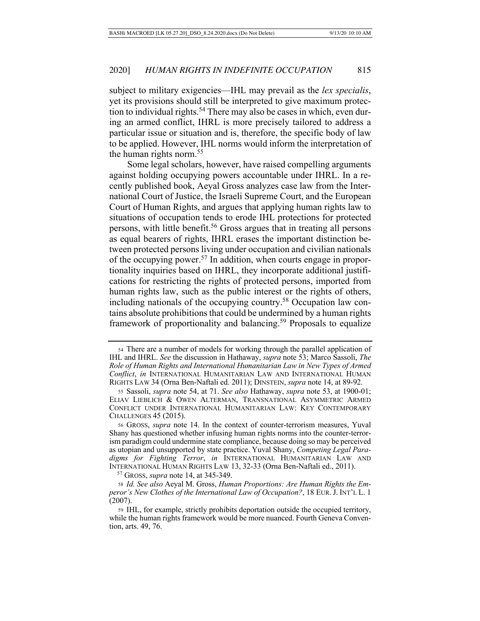subject to military exigencies—IHL may prevail as the *lex specialis*, yet its provisions should still be interpreted to give maximum protection to individual rights.<sup>54</sup> There may also be cases in which, even during an armed conflict, IHRL is more precisely tailored to address a particular issue or situation and is, therefore, the specific body of law to be applied. However, IHL norms would inform the interpretation of the human rights norm.<sup>55</sup>

Some legal scholars, however, have raised compelling arguments against holding occupying powers accountable under IHRL. In a recently published book, Aeyal Gross analyzes case law from the International Court of Justice, the Israeli Supreme Court, and the European Court of Human Rights, and argues that applying human rights law to situations of occupation tends to erode IHL protections for protected persons, with little benefit.56 Gross argues that in treating all persons as equal bearers of rights, IHRL erases the important distinction between protected persons living under occupation and civilian nationals of the occupying power.57 In addition, when courts engage in proportionality inquiries based on IHRL, they incorporate additional justifications for restricting the rights of protected persons, imported from human rights law, such as the public interest or the rights of others, including nationals of the occupying country.58 Occupation law contains absolute prohibitions that could be undermined by a human rights framework of proportionality and balancing.<sup>59</sup> Proposals to equalize

57 GROSS, *supra* note 14, at 345-349.

<sup>54</sup> There are a number of models for working through the parallel application of IHL and IHRL. *See* the discussion in Hathaway, *supra* note 53; Marco Sassoli, *The Role of Human Rights and International Humanitarian Law in New Types of Armed Conflict*, *in* INTERNATIONAL HUMANITARIAN LAW AND INTERNATIONAL HUMAN RIGHTS LAW 34 (Orna Ben-Naftali ed. 2011); DINSTEIN, *supra* note 14, at 89-92.

<sup>55</sup> Sassoli, *supra* note 54, at 71. *See also* Hathaway, *supra* note 53, at 1900-01; ELIAV LIEBLICH & OWEN ALTERMAN, TRANSNATIONAL ASYMMETRIC ARMED CONFLICT UNDER INTERNATIONAL HUMANITARIAN LAW: KEY CONTEMPORARY CHALLENGES 45 (2015).

<sup>56</sup> GROSS, *supra* note 14. In the context of counter-terrorism measures, Yuval Shany has questioned whether infusing human rights norms into the counter-terrorism paradigm could undermine state compliance, because doing so may be perceived as utopian and unsupported by state practice. Yuval Shany, *Competing Legal Paradigms for Fighting Terror*, *in* INTERNATIONAL HUMANITARIAN LAW AND INTERNATIONAL HUMAN RIGHTS LAW 13, 32-33 (Orna Ben-Naftali ed., 2011).

<sup>58</sup> *Id. See also* Aeyal M. Gross, *Human Proportions: Are Human Rights the Emperor's New Clothes of the International Law of Occupation?*, 18 EUR.J. INT'L L. 1 (2007).

<sup>59</sup> IHL, for example, strictly prohibits deportation outside the occupied territory, while the human rights framework would be more nuanced. Fourth Geneva Convention, arts. 49, 76.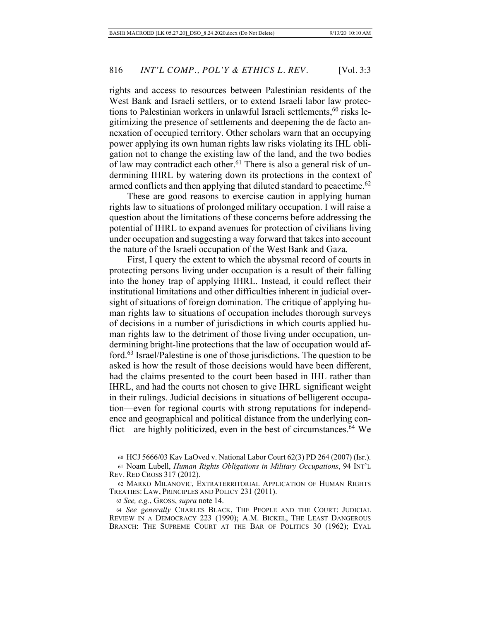rights and access to resources between Palestinian residents of the West Bank and Israeli settlers, or to extend Israeli labor law protections to Palestinian workers in unlawful Israeli settlements,  $60$  risks legitimizing the presence of settlements and deepening the de facto annexation of occupied territory. Other scholars warn that an occupying power applying its own human rights law risks violating its IHL obligation not to change the existing law of the land, and the two bodies of law may contradict each other.<sup>61</sup> There is also a general risk of undermining IHRL by watering down its protections in the context of armed conflicts and then applying that diluted standard to peacetime.<sup>62</sup>

These are good reasons to exercise caution in applying human rights law to situations of prolonged military occupation. I will raise a question about the limitations of these concerns before addressing the potential of IHRL to expand avenues for protection of civilians living under occupation and suggesting a way forward that takes into account the nature of the Israeli occupation of the West Bank and Gaza.

First, I query the extent to which the abysmal record of courts in protecting persons living under occupation is a result of their falling into the honey trap of applying IHRL. Instead, it could reflect their institutional limitations and other difficulties inherent in judicial oversight of situations of foreign domination. The critique of applying human rights law to situations of occupation includes thorough surveys of decisions in a number of jurisdictions in which courts applied human rights law to the detriment of those living under occupation, undermining bright-line protections that the law of occupation would afford.63 Israel/Palestine is one of those jurisdictions. The question to be asked is how the result of those decisions would have been different, had the claims presented to the court been based in IHL rather than IHRL, and had the courts not chosen to give IHRL significant weight in their rulings. Judicial decisions in situations of belligerent occupation—even for regional courts with strong reputations for independence and geographical and political distance from the underlying conflict—are highly politicized, even in the best of circumstances.<sup>64</sup> We

<sup>60</sup> HCJ 5666/03 Kav LaOved v. National Labor Court 62(3) PD 264 (2007) (Isr.). <sup>61</sup> Noam Lubell, *Human Rights Obligations in Military Occupations*, 94 INT'L

REV. RED CROSS 317 (2012).

<sup>62</sup> MARKO MILANOVIC, EXTRATERRITORIAL APPLICATION OF HUMAN RIGHTS TREATIES: LAW, PRINCIPLES AND POLICY 231 (2011).

<sup>63</sup> *See, e.g.*, GROSS, *supra* note 14.

<sup>64</sup> *See generally* CHARLES BLACK, THE PEOPLE AND THE COURT: JUDICIAL REVIEW IN A DEMOCRACY 223 (1990); A.M. BICKEL, THE LEAST DANGEROUS BRANCH: THE SUPREME COURT AT THE BAR OF POLITICS 30 (1962); EYAL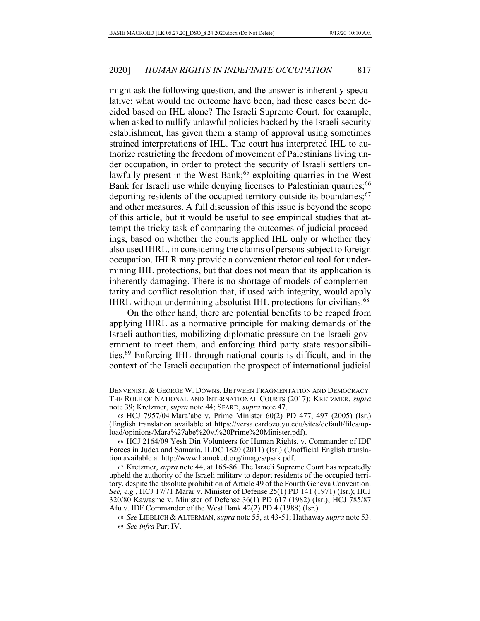might ask the following question, and the answer is inherently speculative: what would the outcome have been, had these cases been decided based on IHL alone? The Israeli Supreme Court, for example, when asked to nullify unlawful policies backed by the Israeli security establishment, has given them a stamp of approval using sometimes strained interpretations of IHL. The court has interpreted IHL to authorize restricting the freedom of movement of Palestinians living under occupation, in order to protect the security of Israeli settlers unlawfully present in the West Bank;<sup>65</sup> exploiting quarries in the West Bank for Israeli use while denying licenses to Palestinian quarries;<sup>66</sup> deporting residents of the occupied territory outside its boundaries;  $67$ and other measures. A full discussion of this issue is beyond the scope of this article, but it would be useful to see empirical studies that attempt the tricky task of comparing the outcomes of judicial proceedings, based on whether the courts applied IHL only or whether they also used IHRL, in considering the claims of persons subject to foreign occupation. IHLR may provide a convenient rhetorical tool for undermining IHL protections, but that does not mean that its application is inherently damaging. There is no shortage of models of complementarity and conflict resolution that, if used with integrity, would apply IHRL without undermining absolutist IHL protections for civilians.<sup>68</sup>

On the other hand, there are potential benefits to be reaped from applying IHRL as a normative principle for making demands of the Israeli authorities, mobilizing diplomatic pressure on the Israeli government to meet them, and enforcing third party state responsibilities.69 Enforcing IHL through national courts is difficult, and in the context of the Israeli occupation the prospect of international judicial

BENVENISTI & GEORGE W. DOWNS, BETWEEN FRAGMENTATION AND DEMOCRACY: THE ROLE OF NATIONAL AND INTERNATIONAL COURTS (2017); KRETZMER, *supra* note 39; Kretzmer, *supra* note 44; SFARD, *supra* note 47.

<sup>65</sup> HCJ 7957/04 Mara'abe v. Prime Minister 60(2) PD 477, 497 (2005) (Isr.) (English translation available at https://versa.cardozo.yu.edu/sites/default/files/upload/opinions/Mara%27abe%20v.%20Prime%20Minister.pdf).

<sup>66</sup> HCJ 2164/09 Yesh Din Volunteers for Human Rights. v. Commander of IDF Forces in Judea and Samaria, ILDC 1820 (2011) (Isr.) (Unofficial English translation available at http://www.hamoked.org/images/psak.pdf.

<sup>67</sup> Kretzmer, *supra* note 44, at 165-86. The Israeli Supreme Court has repeatedly upheld the authority of the Israeli military to deport residents of the occupied territory, despite the absolute prohibition of Article 49 of the Fourth Geneva Convention. *See, e.g.*, HCJ 17/71 Marar v. Minister of Defense 25(1) PD 141 (1971) (Isr.); HCJ 320/80 Kawasme v. Minister of Defense 36(1) PD 617 (1982) (Isr.); HCJ 785/87 Afu v. IDF Commander of the West Bank 42(2) PD 4 (1988) (Isr.).

<sup>68</sup> *See* LIEBLICH & ALTERMAN, s*upra* note 55, at 43-51; Hathaway *supra* note 53. <sup>69</sup> *See infra* Part IV.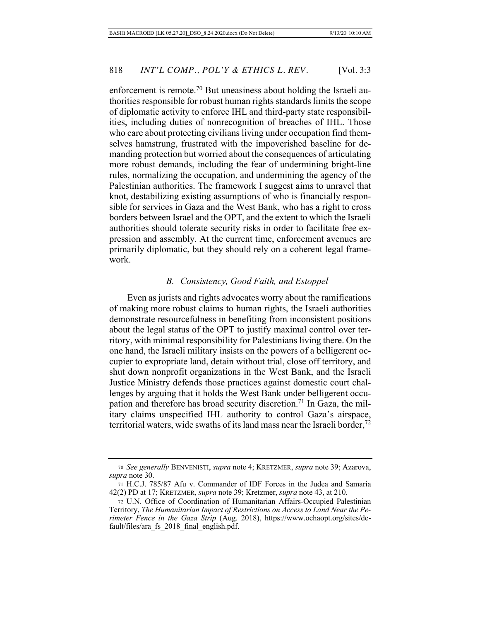enforcement is remote.<sup>70</sup> But uneasiness about holding the Israeli authorities responsible for robust human rights standards limits the scope of diplomatic activity to enforce IHL and third-party state responsibilities, including duties of nonrecognition of breaches of IHL. Those who care about protecting civilians living under occupation find themselves hamstrung, frustrated with the impoverished baseline for demanding protection but worried about the consequences of articulating more robust demands, including the fear of undermining bright-line rules, normalizing the occupation, and undermining the agency of the Palestinian authorities. The framework I suggest aims to unravel that knot, destabilizing existing assumptions of who is financially responsible for services in Gaza and the West Bank, who has a right to cross borders between Israel and the OPT, and the extent to which the Israeli authorities should tolerate security risks in order to facilitate free expression and assembly. At the current time, enforcement avenues are primarily diplomatic, but they should rely on a coherent legal framework.

# *B. Consistency, Good Faith, and Estoppel*

Even as jurists and rights advocates worry about the ramifications of making more robust claims to human rights, the Israeli authorities demonstrate resourcefulness in benefiting from inconsistent positions about the legal status of the OPT to justify maximal control over territory, with minimal responsibility for Palestinians living there. On the one hand, the Israeli military insists on the powers of a belligerent occupier to expropriate land, detain without trial, close off territory, and shut down nonprofit organizations in the West Bank, and the Israeli Justice Ministry defends those practices against domestic court challenges by arguing that it holds the West Bank under belligerent occupation and therefore has broad security discretion.<sup>71</sup> In Gaza, the military claims unspecified IHL authority to control Gaza's airspace, territorial waters, wide swaths of its land mass near the Israeli border,  $\frac{7}{2}$ 

<sup>70</sup> *See generally* BENVENISTI, *supra* note 4; KRETZMER, *supra* note 39; Azarova, *supra* note 30.

<sup>71</sup> H.C.J. 785/87 Afu v. Commander of IDF Forces in the Judea and Samaria 42(2) PD at 17; KRETZMER, *supra* note 39; Kretzmer, *supra* note 43, at 210.

<sup>72</sup> U.N. Office of Coordination of Humanitarian Affairs-Occupied Palestinian Territory, *The Humanitarian Impact of Restrictions on Access to Land Near the Perimeter Fence in the Gaza Strip* (Aug. 2018), https://www.ochaopt.org/sites/default/files/ara\_fs\_2018\_final\_english.pdf.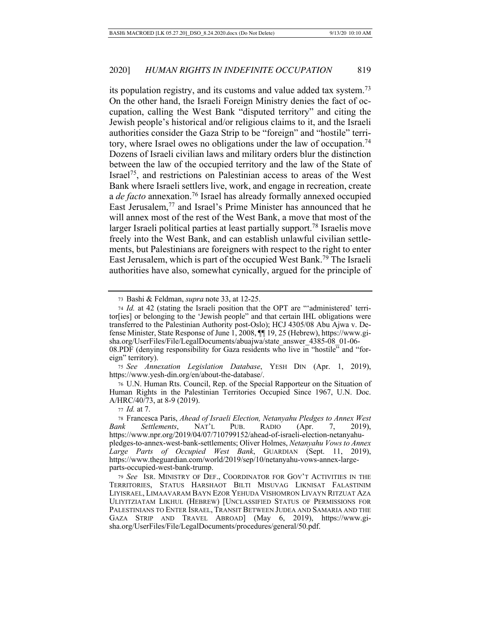its population registry, and its customs and value added tax system.73 On the other hand, the Israeli Foreign Ministry denies the fact of occupation, calling the West Bank "disputed territory" and citing the Jewish people's historical and/or religious claims to it, and the Israeli authorities consider the Gaza Strip to be "foreign" and "hostile" territory, where Israel owes no obligations under the law of occupation.<sup>74</sup> Dozens of Israeli civilian laws and military orders blur the distinction between the law of the occupied territory and the law of the State of Israel75, and restrictions on Palestinian access to areas of the West Bank where Israeli settlers live, work, and engage in recreation, create a *de facto* annexation.76 Israel has already formally annexed occupied East Jerusalem,77 and Israel's Prime Minister has announced that he will annex most of the rest of the West Bank, a move that most of the larger Israeli political parties at least partially support.<sup>78</sup> Israelis move freely into the West Bank, and can establish unlawful civilian settlements, but Palestinians are foreigners with respect to the right to enter East Jerusalem, which is part of the occupied West Bank.79 The Israeli authorities have also, somewhat cynically, argued for the principle of

<sup>75</sup> *See Annexation Legislation Database*, YESH DIN (Apr. 1, 2019), https://www.yesh-din.org/en/about-the-database/.

<sup>76</sup> U.N. Human Rts. Council, Rep. of the Special Rapporteur on the Situation of Human Rights in the Palestinian Territories Occupied Since 1967, U.N. Doc. A/HRC/40/73, at 8-9 (2019).

<sup>73</sup> Bashi & Feldman, *supra* note 33, at 12-25.

<sup>74</sup> *Id.* at 42 (stating the Israeli position that the OPT are "'administered' territor[ies] or belonging to the 'Jewish people" and that certain IHL obligations were transferred to the Palestinian Authority post-Oslo); HCJ 4305/08 Abu Ajwa v. Defense Minister, State Response of June 1, 2008, ¶¶ 19, 25 (Hebrew), https://www.gisha.org/UserFiles/File/LegalDocuments/abuajwa/state\_answer\_4385-08\_01-06- 08.PDF (denying responsibility for Gaza residents who live in "hostile" and "foreign" territory).

<sup>77</sup> *Id.* at 7.

<sup>78</sup> Francesca Paris, *Ahead of Israeli Election, Netanyahu Pledges to Annex West Bank Settlements*, NAT'L PUB. RADIO (Apr. 7, 2019), https://www.npr.org/2019/04/07/710799152/ahead-of-israeli-election-netanyahupledges-to-annex-west-bank-settlements; Oliver Holmes, *Netanyahu Vows to Annex Large Parts of Occupied West Bank*, GUARDIAN (Sept. 11, 2019), https://www.theguardian.com/world/2019/sep/10/netanyahu-vows-annex-largeparts-occupied-west-bank-trump.

<sup>79</sup> *See* ISR. MINISTRY OF DEF., COORDINATOR FOR GOV'T ACTIVITIES IN THE TERRITORIES, STATUS HARSHAOT BILTI MISUVAG LIKNISAT FALASTINIM LIYISRAEL, LIMAAVARAM BAYN EZOR YEHUDA VISHOMRON LIVAYN RITZUAT AZA ULIYITZIATAM LIKHUL (HEBREW) [UNCLASSIFIED STATUS OF PERMISSIONS FOR PALESTINIANS TO ENTER ISRAEL, TRANSIT BETWEEN JUDEA AND SAMARIA AND THE GAZA STRIP AND TRAVEL ABROAD] (May 6, 2019), https://www.gisha.org/UserFiles/File/LegalDocuments/procedures/general/50.pdf.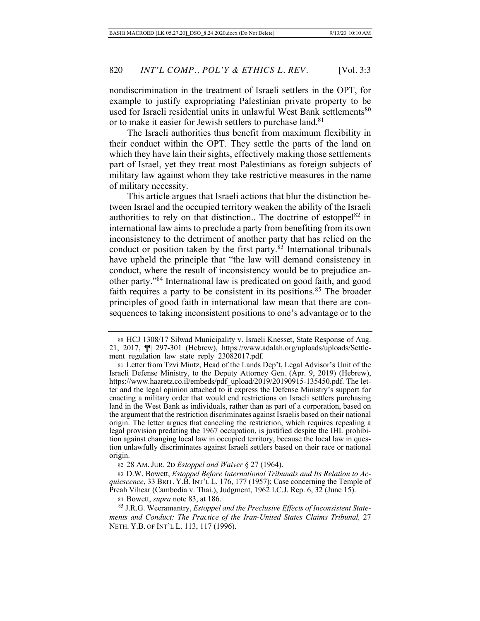nondiscrimination in the treatment of Israeli settlers in the OPT, for example to justify expropriating Palestinian private property to be used for Israeli residential units in unlawful West Bank settlements<sup>80</sup> or to make it easier for Jewish settlers to purchase land.<sup>81</sup>

The Israeli authorities thus benefit from maximum flexibility in their conduct within the OPT. They settle the parts of the land on which they have lain their sights, effectively making those settlements part of Israel, yet they treat most Palestinians as foreign subjects of military law against whom they take restrictive measures in the name of military necessity.

This article argues that Israeli actions that blur the distinction between Israel and the occupied territory weaken the ability of the Israeli authorities to rely on that distinction.. The doctrine of estoppel<sup>82</sup> in international law aims to preclude a party from benefiting from its own inconsistency to the detriment of another party that has relied on the conduct or position taken by the first party.<sup>83</sup> International tribunals have upheld the principle that "the law will demand consistency in conduct, where the result of inconsistency would be to prejudice another party."84 International law is predicated on good faith, and good faith requires a party to be consistent in its positions.<sup>85</sup> The broader principles of good faith in international law mean that there are consequences to taking inconsistent positions to one's advantage or to the

<sup>80</sup> HCJ 1308/17 Silwad Municipality v. Israeli Knesset, State Response of Aug. 21, 2017, ¶¶ 297-301 (Hebrew), https://www.adalah.org/uploads/uploads/Settlement\_regulation\_law\_state\_reply\_23082017.pdf.

<sup>81</sup> Letter from Tzvi Mintz, Head of the Lands Dep't, Legal Advisor's Unit of the Israeli Defense Ministry, to the Deputy Attorney Gen. (Apr. 9, 2019) (Hebrew), https://www.haaretz.co.il/embeds/pdf\_upload/2019/20190915-135450.pdf. The letter and the legal opinion attached to it express the Defense Ministry's support for enacting a military order that would end restrictions on Israeli settlers purchasing land in the West Bank as individuals, rather than as part of a corporation, based on the argument that the restriction discriminates against Israelis based on their national origin. The letter argues that canceling the restriction, which requires repealing a legal provision predating the 1967 occupation, is justified despite the IHL prohibition against changing local law in occupied territory, because the local law in question unlawfully discriminates against Israeli settlers based on their race or national origin.

<sup>82</sup> 28 AM. JUR. 2D *Estoppel and Waiver* § 27 (1964).

<sup>83</sup> D.W. Bowett, *Estoppel Before International Tribunals and Its Relation to Acquiescence*, 33 BRIT. Y.B. INT'L L. 176, 177 (1957); Case concerning the Temple of Preah Vihear (Cambodia v. Thai.), Judgment, 1962 I.C.J. Rep. 6, 32 (June 15).

<sup>84</sup> Bowett, *supra* note 83, at 186.

<sup>85</sup> J.R.G. Weeramantry, *Estoppel and the Preclusive Effects of Inconsistent Statements and Conduct: The Practice of the Iran-United States Claims Tribunal,* 27 NETH. Y.B. OF INT'L L. 113, 117 (1996).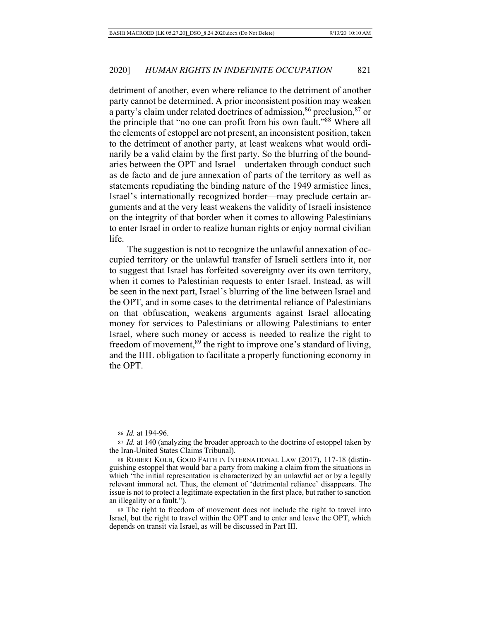detriment of another, even where reliance to the detriment of another party cannot be determined. A prior inconsistent position may weaken a party's claim under related doctrines of admission,  $86$  preclusion,  $87$  or the principle that "no one can profit from his own fault."88 Where all the elements of estoppel are not present, an inconsistent position, taken to the detriment of another party, at least weakens what would ordinarily be a valid claim by the first party. So the blurring of the boundaries between the OPT and Israel—undertaken through conduct such as de facto and de jure annexation of parts of the territory as well as statements repudiating the binding nature of the 1949 armistice lines, Israel's internationally recognized border—may preclude certain arguments and at the very least weakens the validity of Israeli insistence on the integrity of that border when it comes to allowing Palestinians to enter Israel in order to realize human rights or enjoy normal civilian life.

The suggestion is not to recognize the unlawful annexation of occupied territory or the unlawful transfer of Israeli settlers into it, nor to suggest that Israel has forfeited sovereignty over its own territory, when it comes to Palestinian requests to enter Israel. Instead, as will be seen in the next part, Israel's blurring of the line between Israel and the OPT, and in some cases to the detrimental reliance of Palestinians on that obfuscation, weakens arguments against Israel allocating money for services to Palestinians or allowing Palestinians to enter Israel, where such money or access is needed to realize the right to freedom of movement,<sup>89</sup> the right to improve one's standard of living, and the IHL obligation to facilitate a properly functioning economy in the OPT.

<sup>86</sup> *Id.* at 194-96.

<sup>87</sup> *Id.* at 140 (analyzing the broader approach to the doctrine of estoppel taken by the Iran-United States Claims Tribunal).

<sup>88</sup> ROBERT KOLB, GOOD FAITH IN INTERNATIONAL LAW (2017), 117-18 (distinguishing estoppel that would bar a party from making a claim from the situations in which "the initial representation is characterized by an unlawful act or by a legally relevant immoral act. Thus, the element of 'detrimental reliance' disappears. The issue is not to protect a legitimate expectation in the first place, but rather to sanction an illegality or a fault.").

<sup>89</sup> The right to freedom of movement does not include the right to travel into Israel, but the right to travel within the OPT and to enter and leave the OPT, which depends on transit via Israel, as will be discussed in Part III.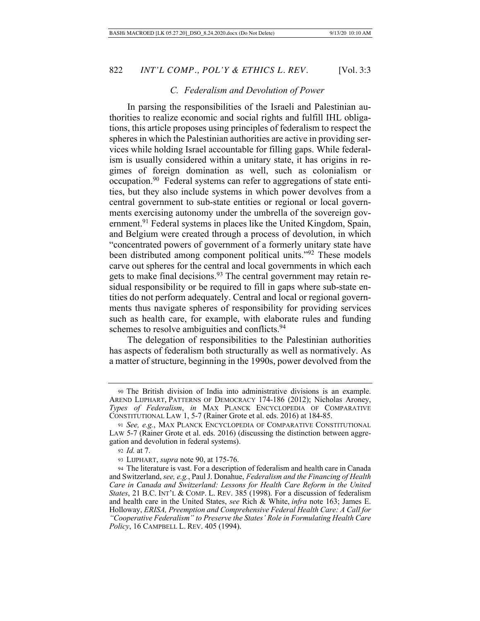### *C. Federalism and Devolution of Power*

In parsing the responsibilities of the Israeli and Palestinian authorities to realize economic and social rights and fulfill IHL obligations, this article proposes using principles of federalism to respect the spheres in which the Palestinian authorities are active in providing services while holding Israel accountable for filling gaps. While federalism is usually considered within a unitary state, it has origins in regimes of foreign domination as well, such as colonialism or occupation.90 Federal systems can refer to aggregations of state entities, but they also include systems in which power devolves from a central government to sub-state entities or regional or local governments exercising autonomy under the umbrella of the sovereign government.<sup>91</sup> Federal systems in places like the United Kingdom, Spain, and Belgium were created through a process of devolution, in which "concentrated powers of government of a formerly unitary state have been distributed among component political units."92 These models carve out spheres for the central and local governments in which each gets to make final decisions.<sup>93</sup> The central government may retain residual responsibility or be required to fill in gaps where sub-state entities do not perform adequately. Central and local or regional governments thus navigate spheres of responsibility for providing services such as health care, for example, with elaborate rules and funding schemes to resolve ambiguities and conflicts.<sup>94</sup>

The delegation of responsibilities to the Palestinian authorities has aspects of federalism both structurally as well as normatively. As a matter of structure, beginning in the 1990s, power devolved from the

<sup>90</sup> The British division of India into administrative divisions is an example. AREND LIJPHART, PATTERNS OF DEMOCRACY 174-186 (2012); Nicholas Aroney, *Types of Federalism*, *in* MAX PLANCK ENCYCLOPEDIA OF COMPARATIVE CONSTITUTIONAL LAW 1, 5-7 (Rainer Grote et al. eds. 2016) at 184-85.

<sup>91</sup> *See, e.g.*, MAX PLANCK ENCYCLOPEDIA OF COMPARATIVE CONSTITUTIONAL LAW 5-7 (Rainer Grote et al. eds. 2016) (discussing the distinction between aggregation and devolution in federal systems).

<sup>92</sup> *Id.* at 7.

<sup>93</sup> LIJPHART, *supra* note 90, at 175-76.

<sup>94</sup> The literature is vast. For a description of federalism and health care in Canada and Switzerland, *see, e.g.*, Paul J. Donahue, *Federalism and the Financing of Health Care in Canada and Switzerland: Lessons for Health Care Reform in the United States*, 21 B.C. INT'L & COMP. L. REV. 385 (1998). For a discussion of federalism and health care in the United States, *see* Rich & White, *infra* note 163; James E. Holloway, *ERISA, Preemption and Comprehensive Federal Health Care: A Call for "Cooperative Federalism" to Preserve the States' Role in Formulating Health Care Policy*, 16 CAMPBELL L. REV. 405 (1994).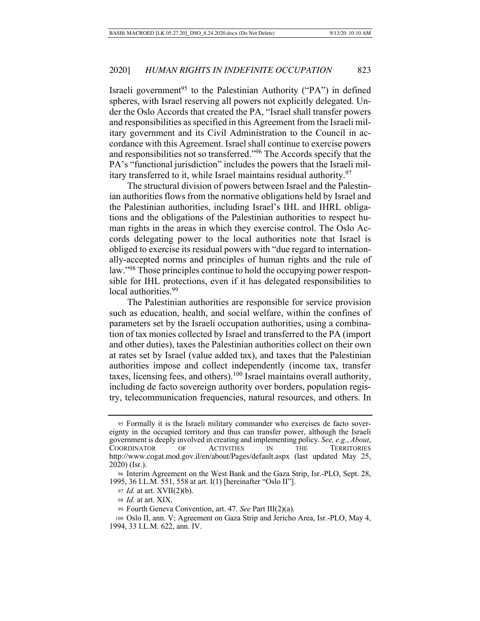Israeli government<sup>95</sup> to the Palestinian Authority ("PA") in defined spheres, with Israel reserving all powers not explicitly delegated. Under the Oslo Accords that created the PA, "Israel shall transfer powers and responsibilities as specified in this Agreement from the Israeli military government and its Civil Administration to the Council in accordance with this Agreement. Israel shall continue to exercise powers and responsibilities not so transferred."96 The Accords specify that the PA's "functional jurisdiction" includes the powers that the Israeli military transferred to it, while Israel maintains residual authority.97

The structural division of powers between Israel and the Palestinian authorities flows from the normative obligations held by Israel and the Palestinian authorities, including Israel's IHL and IHRL obligations and the obligations of the Palestinian authorities to respect human rights in the areas in which they exercise control. The Oslo Accords delegating power to the local authorities note that Israel is obliged to exercise its residual powers with "due regard to internationally-accepted norms and principles of human rights and the rule of law."98 Those principles continue to hold the occupying power responsible for IHL protections, even if it has delegated responsibilities to local authorities.<sup>99</sup>

The Palestinian authorities are responsible for service provision such as education, health, and social welfare, within the confines of parameters set by the Israeli occupation authorities, using a combination of tax monies collected by Israel and transferred to the PA (import and other duties), taxes the Palestinian authorities collect on their own at rates set by Israel (value added tax), and taxes that the Palestinian authorities impose and collect independently (income tax, transfer taxes, licensing fees, and others).100 Israel maintains overall authority, including de facto sovereign authority over borders, population registry, telecommunication frequencies, natural resources, and others. In

<sup>95</sup> Formally it is the Israeli military commander who exercises de facto sovereignty in the occupied territory and thus can transfer power, although the Israeli government is deeply involved in creating and implementing policy. *See, e.g.*, *About*, COORDINATOR OF ACTIVITIES IN THE TERRITORIES http://www.cogat.mod.gov.il/en/about/Pages/default.aspx (last updated May 25, 2020) (Isr.).

<sup>96</sup> Interim Agreement on the West Bank and the Gaza Strip, Isr.-PLO, Sept. 28, 1995, 36 I.L.M. 551, 558 at art. I(1) [hereinafter "Oslo II"].

<sup>97</sup> *Id.* at art. XVII(2)(b).

<sup>98</sup> *Id.* at art. XIX.

<sup>99</sup> Fourth Geneva Convention, art. 47. *See* Part III(2)(a).

<sup>100</sup> Oslo II, ann. V; Agreement on Gaza Strip and Jericho Area, Isr.-PLO, May 4, 1994, 33 I.L.M. 622, ann. IV.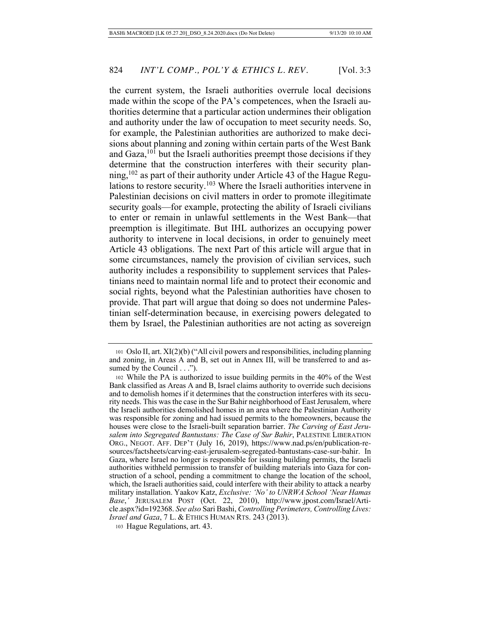the current system, the Israeli authorities overrule local decisions made within the scope of the PA's competences, when the Israeli authorities determine that a particular action undermines their obligation and authority under the law of occupation to meet security needs. So, for example, the Palestinian authorities are authorized to make decisions about planning and zoning within certain parts of the West Bank and Gaza, $101$  but the Israeli authorities preempt those decisions if they determine that the construction interferes with their security planning,  $102$  as part of their authority under Article 43 of the Hague Regulations to restore security.<sup>103</sup> Where the Israeli authorities intervene in Palestinian decisions on civil matters in order to promote illegitimate security goals—for example, protecting the ability of Israeli civilians to enter or remain in unlawful settlements in the West Bank—that preemption is illegitimate. But IHL authorizes an occupying power authority to intervene in local decisions, in order to genuinely meet Article 43 obligations. The next Part of this article will argue that in some circumstances, namely the provision of civilian services, such authority includes a responsibility to supplement services that Palestinians need to maintain normal life and to protect their economic and social rights, beyond what the Palestinian authorities have chosen to provide. That part will argue that doing so does not undermine Palestinian self-determination because, in exercising powers delegated to them by Israel, the Palestinian authorities are not acting as sovereign

<sup>101</sup> Oslo II, art. XI(2)(b) ("All civil powers and responsibilities, including planning and zoning, in Areas A and B, set out in Annex III, will be transferred to and assumed by the Council . . .").

<sup>102</sup> While the PA is authorized to issue building permits in the 40% of the West Bank classified as Areas A and B, Israel claims authority to override such decisions and to demolish homes if it determines that the construction interferes with its security needs. This was the case in the Sur Bahir neighborhood of East Jerusalem, where the Israeli authorities demolished homes in an area where the Palestinian Authority was responsible for zoning and had issued permits to the homeowners, because the houses were close to the Israeli-built separation barrier. *The Carving of East Jerusalem into Segregated Bantustans: The Case of Sur Bahir*, PALESTINE LIBERATION ORG., NEGOT. AFF. DEP'T (July 16, 2019), https://www.nad.ps/en/publication-resources/factsheets/carving-east-jerusalem-segregated-bantustans-case-sur-bahir. In Gaza, where Israel no longer is responsible for issuing building permits, the Israeli authorities withheld permission to transfer of building materials into Gaza for construction of a school, pending a commitment to change the location of the school, which, the Israeli authorities said, could interfere with their ability to attack a nearby military installation. Yaakov Katz, *Exclusive: 'No' to UNRWA School 'Near Hamas Base*,*'* JERUSALEM POST (Oct. 22, 2010), http://www.jpost.com/Israel/Article.aspx?id=192368. *See also* Sari Bashi, *Controlling Perimeters, Controlling Lives: Israel and Gaza*, 7 L. & ETHICS HUMAN RTS. 243 (2013).

<sup>103</sup> Hague Regulations, art. 43.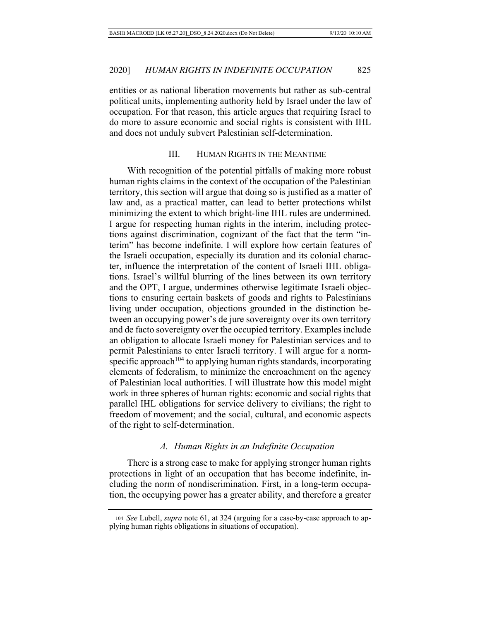entities or as national liberation movements but rather as sub-central political units, implementing authority held by Israel under the law of occupation. For that reason, this article argues that requiring Israel to do more to assure economic and social rights is consistent with IHL and does not unduly subvert Palestinian self-determination.

# III. HUMAN RIGHTS IN THE MEANTIME

With recognition of the potential pitfalls of making more robust human rights claims in the context of the occupation of the Palestinian territory, this section will argue that doing so is justified as a matter of law and, as a practical matter, can lead to better protections whilst minimizing the extent to which bright-line IHL rules are undermined. I argue for respecting human rights in the interim, including protections against discrimination, cognizant of the fact that the term "interim" has become indefinite. I will explore how certain features of the Israeli occupation, especially its duration and its colonial character, influence the interpretation of the content of Israeli IHL obligations. Israel's willful blurring of the lines between its own territory and the OPT, I argue, undermines otherwise legitimate Israeli objections to ensuring certain baskets of goods and rights to Palestinians living under occupation, objections grounded in the distinction between an occupying power's de jure sovereignty over its own territory and de facto sovereignty over the occupied territory. Examples include an obligation to allocate Israeli money for Palestinian services and to permit Palestinians to enter Israeli territory. I will argue for a normspecific approach<sup>104</sup> to applying human rights standards, incorporating elements of federalism, to minimize the encroachment on the agency of Palestinian local authorities. I will illustrate how this model might work in three spheres of human rights: economic and social rights that parallel IHL obligations for service delivery to civilians; the right to freedom of movement; and the social, cultural, and economic aspects of the right to self-determination.

### *A. Human Rights in an Indefinite Occupation*

There is a strong case to make for applying stronger human rights protections in light of an occupation that has become indefinite, including the norm of nondiscrimination. First, in a long-term occupation, the occupying power has a greater ability, and therefore a greater

<sup>104</sup> *See* Lubell, *supra* note 61, at 324 (arguing for a case-by-case approach to applying human rights obligations in situations of occupation).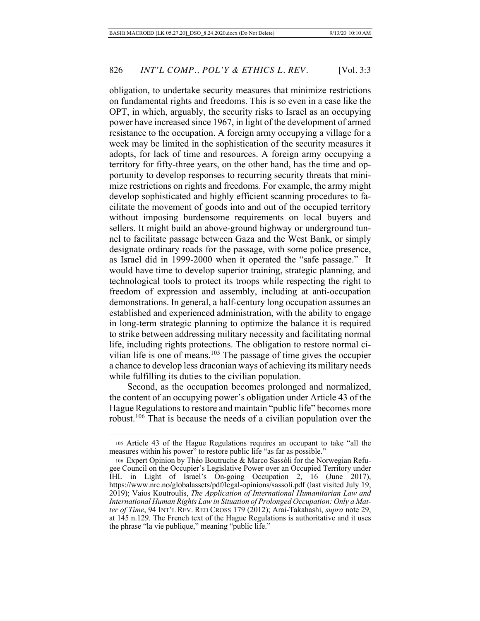obligation, to undertake security measures that minimize restrictions on fundamental rights and freedoms. This is so even in a case like the OPT, in which, arguably, the security risks to Israel as an occupying power have increased since 1967, in light of the development of armed resistance to the occupation. A foreign army occupying a village for a week may be limited in the sophistication of the security measures it adopts, for lack of time and resources. A foreign army occupying a territory for fifty-three years, on the other hand, has the time and opportunity to develop responses to recurring security threats that minimize restrictions on rights and freedoms. For example, the army might develop sophisticated and highly efficient scanning procedures to facilitate the movement of goods into and out of the occupied territory without imposing burdensome requirements on local buyers and sellers. It might build an above-ground highway or underground tunnel to facilitate passage between Gaza and the West Bank, or simply designate ordinary roads for the passage, with some police presence, as Israel did in 1999-2000 when it operated the "safe passage." It would have time to develop superior training, strategic planning, and technological tools to protect its troops while respecting the right to freedom of expression and assembly, including at anti-occupation demonstrations. In general, a half-century long occupation assumes an established and experienced administration, with the ability to engage in long-term strategic planning to optimize the balance it is required to strike between addressing military necessity and facilitating normal life, including rights protections. The obligation to restore normal civilian life is one of means. $105$  The passage of time gives the occupier a chance to develop less draconian ways of achieving its military needs while fulfilling its duties to the civilian population.

Second, as the occupation becomes prolonged and normalized, the content of an occupying power's obligation under Article 43 of the Hague Regulations to restore and maintain "public life" becomes more robust.106 That is because the needs of a civilian population over the

<sup>105</sup> Article 43 of the Hague Regulations requires an occupant to take "all the measures within his power" to restore public life "as far as possible."

<sup>106</sup> Expert Opinion by Théo Boutruche & Marco Sassòli for the Norwegian Refugee Council on the Occupier's Legislative Power over an Occupied Territory under IHL in Light of Israel's On-going Occupation 2, 16 (June 2017), https://www.nrc.no/globalassets/pdf/legal-opinions/sassoli.pdf (last visited July 19, 2019); Vaios Koutroulis, *The Application of International Humanitarian Law and International Human Rights Law in Situation of Prolonged Occupation: Only a Matter of Time*, 94 INT'L REV. RED CROSS 179 (2012); Arai-Takahashi, *supra* note 29, at 145 n.129. The French text of the Hague Regulations is authoritative and it uses the phrase "la vie publique," meaning "public life."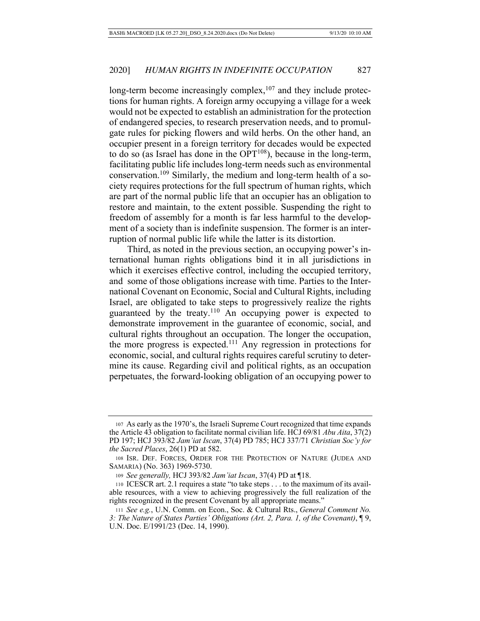long-term become increasingly complex,<sup>107</sup> and they include protections for human rights. A foreign army occupying a village for a week would not be expected to establish an administration for the protection of endangered species, to research preservation needs, and to promulgate rules for picking flowers and wild herbs. On the other hand, an occupier present in a foreign territory for decades would be expected to do so (as Israel has done in the  $OPT<sup>108</sup>$ ), because in the long-term, facilitating public life includes long-term needs such as environmental conservation.109 Similarly, the medium and long-term health of a society requires protections for the full spectrum of human rights, which are part of the normal public life that an occupier has an obligation to restore and maintain, to the extent possible. Suspending the right to freedom of assembly for a month is far less harmful to the development of a society than is indefinite suspension. The former is an interruption of normal public life while the latter is its distortion.

Third, as noted in the previous section, an occupying power's international human rights obligations bind it in all jurisdictions in which it exercises effective control, including the occupied territory, and some of those obligations increase with time. Parties to the International Covenant on Economic, Social and Cultural Rights, including Israel, are obligated to take steps to progressively realize the rights guaranteed by the treaty.<sup>110</sup> An occupying power is expected to demonstrate improvement in the guarantee of economic, social, and cultural rights throughout an occupation. The longer the occupation, the more progress is expected.<sup>111</sup> Any regression in protections for economic, social, and cultural rights requires careful scrutiny to determine its cause. Regarding civil and political rights, as an occupation perpetuates, the forward-looking obligation of an occupying power to

<sup>107</sup> As early as the 1970's, the Israeli Supreme Court recognized that time expands the Article 43 obligation to facilitate normal civilian life. HCJ 69/81 *Abu Aita*, 37(2) PD 197; HCJ 393/82 *Jam'iat Iscan*, 37(4) PD 785; HCJ 337/71 *Christian Soc'y for the Sacred Places*, 26(1) PD at 582.

<sup>108</sup> ISR. DEF. FORCES, ORDER FOR THE PROTECTION OF NATURE (JUDEA AND SAMARIA) (No. 363) 1969-5730.

<sup>109</sup> *See generally,* HCJ 393/82 *Jam'iat Iscan*, 37(4) PD at ¶18.

<sup>110</sup> ICESCR art. 2.1 requires a state "to take steps . . . to the maximum of its available resources, with a view to achieving progressively the full realization of the rights recognized in the present Covenant by all appropriate means."

<sup>111</sup> *See e.g.*, U.N. Comm. on Econ., Soc. & Cultural Rts., *General Comment No. 3: The Nature of States Parties' Obligations (Art. 2, Para. 1, of the Covenant)*, ¶ 9, U.N. Doc. E/1991/23 (Dec. 14, 1990).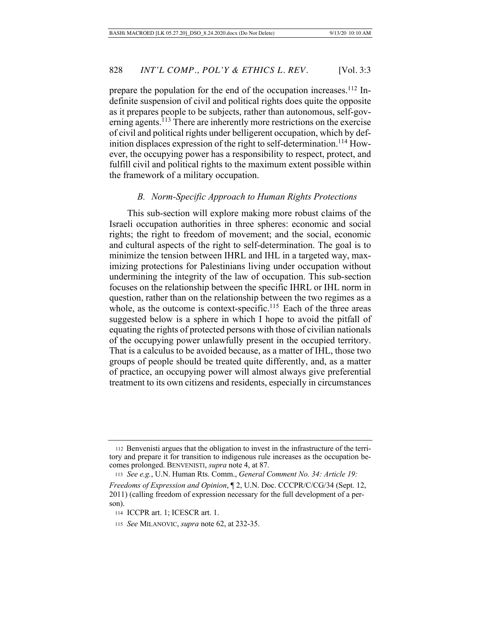prepare the population for the end of the occupation increases.<sup>112</sup> Indefinite suspension of civil and political rights does quite the opposite as it prepares people to be subjects, rather than autonomous, self-governing agents.<sup>113</sup> There are inherently more restrictions on the exercise of civil and political rights under belligerent occupation, which by definition displaces expression of the right to self-determination.<sup>114</sup> However, the occupying power has a responsibility to respect, protect, and fulfill civil and political rights to the maximum extent possible within the framework of a military occupation.

### *B. Norm-Specific Approach to Human Rights Protections*

This sub-section will explore making more robust claims of the Israeli occupation authorities in three spheres: economic and social rights; the right to freedom of movement; and the social, economic and cultural aspects of the right to self-determination. The goal is to minimize the tension between IHRL and IHL in a targeted way, maximizing protections for Palestinians living under occupation without undermining the integrity of the law of occupation. This sub-section focuses on the relationship between the specific IHRL or IHL norm in question, rather than on the relationship between the two regimes as a whole, as the outcome is context-specific.<sup>115</sup> Each of the three areas suggested below is a sphere in which I hope to avoid the pitfall of equating the rights of protected persons with those of civilian nationals of the occupying power unlawfully present in the occupied territory. That is a calculus to be avoided because, as a matter of IHL, those two groups of people should be treated quite differently, and, as a matter of practice, an occupying power will almost always give preferential treatment to its own citizens and residents, especially in circumstances

<sup>112</sup> Benvenisti argues that the obligation to invest in the infrastructure of the territory and prepare it for transition to indigenous rule increases as the occupation becomes prolonged. BENVENISTI, *supra* note 4, at 87.

<sup>113</sup> *See e.g.*, U.N. Human Rts. Comm., *General Comment No. 34: Article 19:* 

*Freedoms of Expression and Opinion*, ¶ 2, U.N. Doc. CCCPR/C/CG/34 (Sept. 12, 2011) (calling freedom of expression necessary for the full development of a person).

 <sup>114</sup> ICCPR art. 1; ICESCR art. 1.

<sup>115</sup> *See* MILANOVIC, *supra* note 62, at 232-35.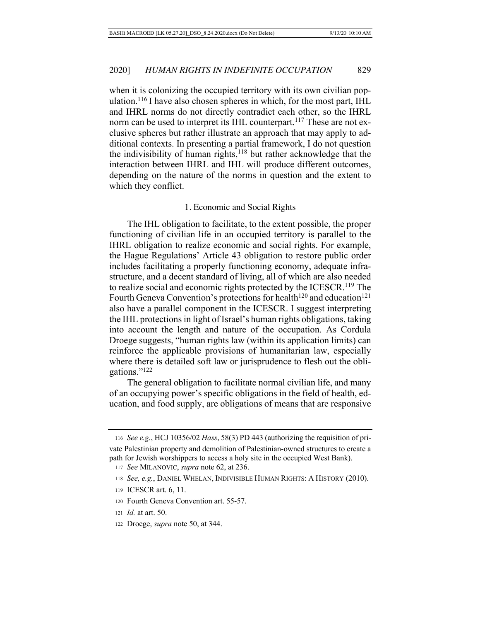when it is colonizing the occupied territory with its own civilian population.<sup>116</sup> I have also chosen spheres in which, for the most part, IHL and IHRL norms do not directly contradict each other, so the IHRL norm can be used to interpret its IHL counterpart.<sup>117</sup> These are not exclusive spheres but rather illustrate an approach that may apply to additional contexts. In presenting a partial framework, I do not question the indivisibility of human rights, $118$  but rather acknowledge that the interaction between IHRL and IHL will produce different outcomes, depending on the nature of the norms in question and the extent to which they conflict.

### 1. Economic and Social Rights

The IHL obligation to facilitate, to the extent possible, the proper functioning of civilian life in an occupied territory is parallel to the IHRL obligation to realize economic and social rights. For example, the Hague Regulations' Article 43 obligation to restore public order includes facilitating a properly functioning economy, adequate infrastructure, and a decent standard of living, all of which are also needed to realize social and economic rights protected by the ICESCR.119 The Fourth Geneva Convention's protections for health<sup>120</sup> and education<sup>121</sup> also have a parallel component in the ICESCR. I suggest interpreting the IHL protections in light of Israel's human rights obligations, taking into account the length and nature of the occupation. As Cordula Droege suggests, "human rights law (within its application limits) can reinforce the applicable provisions of humanitarian law, especially where there is detailed soft law or jurisprudence to flesh out the obligations."122

The general obligation to facilitate normal civilian life, and many of an occupying power's specific obligations in the field of health, education, and food supply, are obligations of means that are responsive

<sup>118</sup> *See, e.g.*, DANIEL WHELAN, INDIVISIBLE HUMAN RIGHTS: A HISTORY (2010).

- 120 Fourth Geneva Convention art. 55-57.
- 121 *Id.* at art. 50.
- 122 Droege, *supra* note 50, at 344.

116 *See e.g.*, HCJ 10356/02 *Hass*, 58(3) PD 443 (authorizing the requisition of pri-

vate Palestinian property and demolition of Palestinian-owned structures to create a path for Jewish worshippers to access a holy site in the occupied West Bank).

<sup>117</sup> *See* MILANOVIC, *supra* note 62, at 236.

 <sup>119</sup> ICESCR art. 6, 11.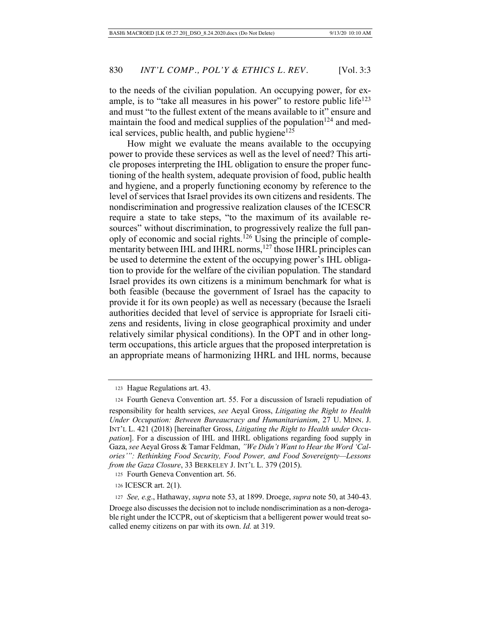to the needs of the civilian population. An occupying power, for example, is to "take all measures in his power" to restore public life<sup>123</sup> and must "to the fullest extent of the means available to it" ensure and maintain the food and medical supplies of the population<sup>124</sup> and medical services, public health, and public hygiene<sup>125</sup>

How might we evaluate the means available to the occupying power to provide these services as well as the level of need? This article proposes interpreting the IHL obligation to ensure the proper functioning of the health system, adequate provision of food, public health and hygiene, and a properly functioning economy by reference to the level of services that Israel provides its own citizens and residents. The nondiscrimination and progressive realization clauses of the ICESCR require a state to take steps, "to the maximum of its available resources" without discrimination, to progressively realize the full panoply of economic and social rights.126 Using the principle of complementarity between IHL and IHRL norms,<sup>127</sup> those IHRL principles can be used to determine the extent of the occupying power's IHL obligation to provide for the welfare of the civilian population. The standard Israel provides its own citizens is a minimum benchmark for what is both feasible (because the government of Israel has the capacity to provide it for its own people) as well as necessary (because the Israeli authorities decided that level of service is appropriate for Israeli citizens and residents, living in close geographical proximity and under relatively similar physical conditions). In the OPT and in other longterm occupations, this article argues that the proposed interpretation is an appropriate means of harmonizing IHRL and IHL norms, because

 <sup>123</sup> Hague Regulations art. 43.

 <sup>124</sup> Fourth Geneva Convention art. 55. For a discussion of Israeli repudiation of responsibility for health services, *see* Aeyal Gross, *Litigating the Right to Health Under Occupation: Between Bureaucracy and Humanitarianism*, 27 U. MINN. J. INT'L L. 421 (2018) [hereinafter Gross, *Litigating the Right to Health under Occupation*]. For a discussion of IHL and IHRL obligations regarding food supply in Gaza, *see* Aeyal Gross & Tamar Feldman, *"We Didn't Want to Hear the Word 'Calories'": Rethinking Food Security, Food Power, and Food Sovereignty—Lessons from the Gaza Closure*, 33 BERKELEY J. INT'L L. 379 (2015).

 <sup>125</sup> Fourth Geneva Convention art. 56.

 <sup>126</sup> ICESCR art. 2(1).

<sup>127</sup> *See, e.g*., Hathaway, *supra* note 53, at 1899. Droege, *supra* note 50, at 340-43.

Droege also discusses the decision not to include nondiscrimination as a non-derogable right under the ICCPR, out of skepticism that a belligerent power would treat socalled enemy citizens on par with its own. *Id.* at 319.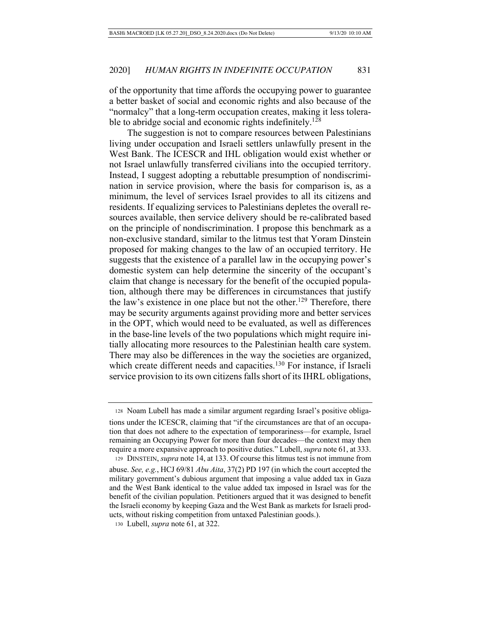of the opportunity that time affords the occupying power to guarantee a better basket of social and economic rights and also because of the "normalcy" that a long-term occupation creates, making it less tolerable to abridge social and economic rights indefinitely.<sup>128</sup>

The suggestion is not to compare resources between Palestinians living under occupation and Israeli settlers unlawfully present in the West Bank. The ICESCR and IHL obligation would exist whether or not Israel unlawfully transferred civilians into the occupied territory. Instead, I suggest adopting a rebuttable presumption of nondiscrimination in service provision, where the basis for comparison is, as a minimum, the level of services Israel provides to all its citizens and residents. If equalizing services to Palestinians depletes the overall resources available, then service delivery should be re-calibrated based on the principle of nondiscrimination. I propose this benchmark as a non-exclusive standard, similar to the litmus test that Yoram Dinstein proposed for making changes to the law of an occupied territory. He suggests that the existence of a parallel law in the occupying power's domestic system can help determine the sincerity of the occupant's claim that change is necessary for the benefit of the occupied population, although there may be differences in circumstances that justify the law's existence in one place but not the other.<sup>129</sup> Therefore, there may be security arguments against providing more and better services in the OPT, which would need to be evaluated, as well as differences in the base-line levels of the two populations which might require initially allocating more resources to the Palestinian health care system. There may also be differences in the way the societies are organized, which create different needs and capacities.<sup>130</sup> For instance, if Israeli service provision to its own citizens falls short of its IHRL obligations,

 <sup>128</sup> Noam Lubell has made a similar argument regarding Israel's positive obliga-

tions under the ICESCR, claiming that "if the circumstances are that of an occupation that does not adhere to the expectation of temporariness—for example, Israel remaining an Occupying Power for more than four decades—the context may then require a more expansive approach to positive duties." Lubell, *supra* note 61, at 333. 129 DINSTEIN, *supra* note 14, at 133. Of course this litmus test is not immune from

abuse. *See, e.g.*, HCJ 69/81 *Abu Aita*, 37(2) PD 197 (in which the court accepted the military government's dubious argument that imposing a value added tax in Gaza and the West Bank identical to the value added tax imposed in Israel was for the benefit of the civilian population. Petitioners argued that it was designed to benefit the Israeli economy by keeping Gaza and the West Bank as markets for Israeli products, without risking competition from untaxed Palestinian goods.).

 <sup>130</sup> Lubell, *supra* note 61, at 322.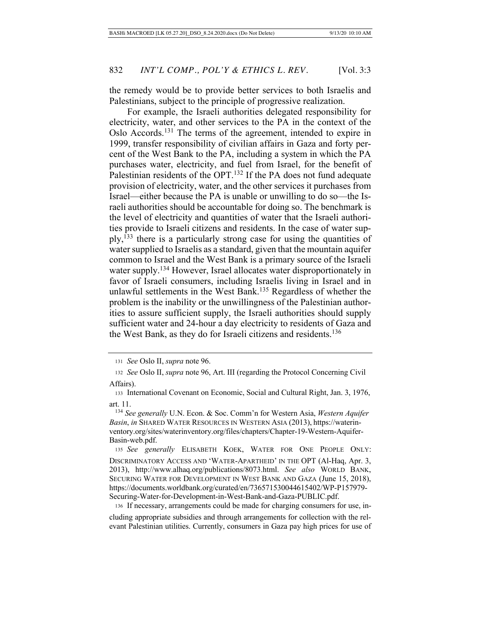the remedy would be to provide better services to both Israelis and Palestinians, subject to the principle of progressive realization.

For example, the Israeli authorities delegated responsibility for electricity, water, and other services to the PA in the context of the Oslo Accords.131 The terms of the agreement, intended to expire in 1999, transfer responsibility of civilian affairs in Gaza and forty percent of the West Bank to the PA, including a system in which the PA purchases water, electricity, and fuel from Israel, for the benefit of Palestinian residents of the OPT.<sup>132</sup> If the PA does not fund adequate provision of electricity, water, and the other services it purchases from Israel—either because the PA is unable or unwilling to do so—the Israeli authorities should be accountable for doing so. The benchmark is the level of electricity and quantities of water that the Israeli authorities provide to Israeli citizens and residents. In the case of water supply,  $133$  there is a particularly strong case for using the quantities of water supplied to Israelis as a standard, given that the mountain aquifer common to Israel and the West Bank is a primary source of the Israeli water supply.<sup>134</sup> However, Israel allocates water disproportionately in favor of Israeli consumers, including Israelis living in Israel and in unlawful settlements in the West Bank.<sup>135</sup> Regardless of whether the problem is the inability or the unwillingness of the Palestinian authorities to assure sufficient supply, the Israeli authorities should supply sufficient water and 24-hour a day electricity to residents of Gaza and the West Bank, as they do for Israeli citizens and residents.<sup>136</sup>

136 If necessary, arrangements could be made for charging consumers for use, in-

cluding appropriate subsidies and through arrangements for collection with the relevant Palestinian utilities. Currently, consumers in Gaza pay high prices for use of

<sup>131</sup> *See* Oslo II, *supra* note 96.

<sup>132</sup> *See* Oslo II, *supra* note 96, Art. III (regarding the Protocol Concerning Civil Affairs).

 <sup>133</sup> International Covenant on Economic, Social and Cultural Right, Jan. 3, 1976, art. 11.

 <sup>134</sup> *See generally* U.N. Econ. & Soc. Comm'n for Western Asia, *Western Aquifer Basin*, *in* SHARED WATER RESOURCES IN WESTERN ASIA (2013), https://waterinventory.org/sites/waterinventory.org/files/chapters/Chapter-19-Western-Aquifer-Basin-web.pdf.

 <sup>135</sup> *See generally* ELISABETH KOEK, WATER FOR ONE PEOPLE ONLY: DISCRIMINATORY ACCESS AND 'WATER-APARTHEID' IN THE OPT (Al-Haq, Apr. 3, 2013), http://www.alhaq.org/publications/8073.html. *See also* WORLD BANK, SECURING WATER FOR DEVELOPMENT IN WEST BANK AND GAZA (June 15, 2018), https://documents.worldbank.org/curated/en/736571530044615402/WP-P157979- Securing-Water-for-Development-in-West-Bank-and-Gaza-PUBLIC.pdf.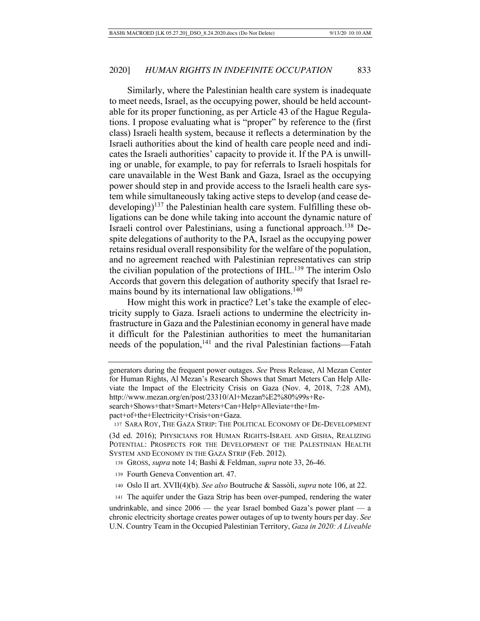Similarly, where the Palestinian health care system is inadequate to meet needs, Israel, as the occupying power, should be held accountable for its proper functioning, as per Article 43 of the Hague Regulations. I propose evaluating what is "proper" by reference to the (first class) Israeli health system, because it reflects a determination by the Israeli authorities about the kind of health care people need and indicates the Israeli authorities' capacity to provide it. If the PA is unwilling or unable, for example, to pay for referrals to Israeli hospitals for care unavailable in the West Bank and Gaza, Israel as the occupying power should step in and provide access to the Israeli health care system while simultaneously taking active steps to develop (and cease dedeveloping)<sup>137</sup> the Palestinian health care system. Fulfilling these obligations can be done while taking into account the dynamic nature of Israeli control over Palestinians, using a functional approach.138 Despite delegations of authority to the PA, Israel as the occupying power retains residual overall responsibility for the welfare of the population, and no agreement reached with Palestinian representatives can strip the civilian population of the protections of IHL.<sup>139</sup> The interim Oslo Accords that govern this delegation of authority specify that Israel remains bound by its international law obligations.<sup>140</sup>

How might this work in practice? Let's take the example of electricity supply to Gaza. Israeli actions to undermine the electricity infrastructure in Gaza and the Palestinian economy in general have made it difficult for the Palestinian authorities to meet the humanitarian needs of the population,  $141$  and the rival Palestinian factions—Fatah

pact+of+the+Electricity+Crisis+on+Gaza.

137 SARA ROY, THE GAZA STRIP: THE POLITICAL ECONOMY OF DE-DEVELOPMENT

(3d ed. 2016); PHYSICIANS FOR HUMAN RIGHTS-ISRAEL AND GISHA, REALIZING POTENTIAL: PROSPECTS FOR THE DEVELOPMENT OF THE PALESTINIAN HEALTH SYSTEM AND ECONOMY IN THE GAZA STRIP (Feb. 2012).

138 GROSS, *supra* note 14; Bashi & Feldman, *supra* note 33, 26-46.

- 139 Fourth Geneva Convention art. 47.
- 140 Oslo II art. XVII(4)(b). *See also* Boutruche & Sassòli, *supra* note 106, at 22.

 141 The aquifer under the Gaza Strip has been over-pumped, rendering the water undrinkable, and since  $2006$  — the year Israel bombed Gaza's power plant — a chronic electricity shortage creates power outages of up to twenty hours per day. *See* U.N. Country Team in the Occupied Palestinian Territory, *Gaza in 2020: A Liveable* 

generators during the frequent power outages. *See* Press Release, Al Mezan Center for Human Rights, Al Mezan's Research Shows that Smart Meters Can Help Alleviate the Impact of the Electricity Crisis on Gaza (Nov. 4, 2018, 7:28 AM), http://www.mezan.org/en/post/23310/Al+Mezan%E2%80%99s+Research+Shows+that+Smart+Meters+Can+Help+Alleviate+the+Im-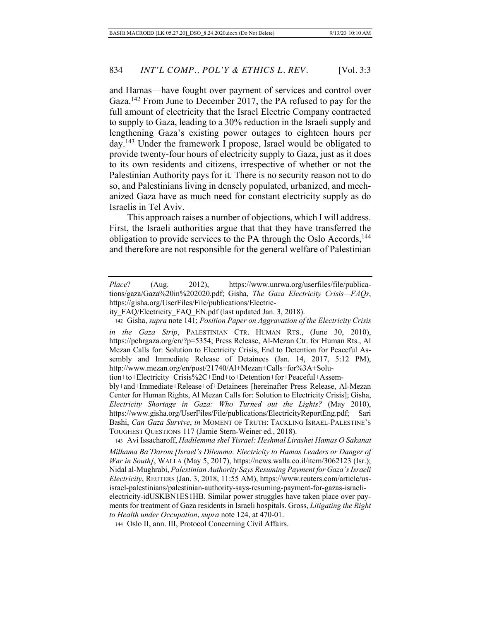and Hamas—have fought over payment of services and control over Gaza.<sup>142</sup> From June to December 2017, the PA refused to pay for the full amount of electricity that the Israel Electric Company contracted to supply to Gaza, leading to a 30% reduction in the Israeli supply and lengthening Gaza's existing power outages to eighteen hours per day.143 Under the framework I propose, Israel would be obligated to provide twenty-four hours of electricity supply to Gaza, just as it does to its own residents and citizens, irrespective of whether or not the Palestinian Authority pays for it. There is no security reason not to do so, and Palestinians living in densely populated, urbanized, and mechanized Gaza have as much need for constant electricity supply as do Israelis in Tel Aviv.

This approach raises a number of objections, which I will address. First, the Israeli authorities argue that that they have transferred the obligation to provide services to the PA through the Oslo Accords,<sup>144</sup> and therefore are not responsible for the general welfare of Palestinian

*in the Gaza Strip*, PALESTINIAN CTR. HUMAN RTS., (June 30, 2010), https://pchrgaza.org/en/?p=5354; Press Release, Al-Mezan Ctr. for Human Rts., Al Mezan Calls for: Solution to Electricity Crisis, End to Detention for Peaceful Assembly and Immediate Release of Detainees (Jan. 14, 2017, 5:12 PM), http://www.mezan.org/en/post/21740/Al+Mezan+Calls+for%3A+Solu-

tion+to+Electricity+Crisis%2C+End+to+Detention+for+Peaceful+Assem-

*Place*? (Aug. 2012), https://www.unrwa.org/userfiles/file/publications/gaza/Gaza%20in%202020.pdf; Gisha, *The Gaza Electricity Crisis—FAQs*, https://gisha.org/UserFiles/File/publications/Electric-

ity\_FAQ/Electricity\_FAQ\_EN.pdf (last updated Jan. 3, 2018).

 <sup>142</sup> Gisha, *supra* note 141; *Position Paper on Aggravation of the Electricity Crisis* 

bly+and+Immediate+Release+of+Detainees [hereinafter Press Release, Al-Mezan Center for Human Rights, Al Mezan Calls for: Solution to Electricity Crisis]; Gisha, *Electricity Shortage in Gaza: Who Turned out the Lights?* (May 2010), https://www.gisha.org/UserFiles/File/publications/ElectricityReportEng.pdf; Sari Bashi, *Can Gaza Survive*, *in* MOMENT OF TRUTH: TACKLING ISRAEL-PALESTINE'S TOUGHEST QUESTIONS 117 (Jamie Stern-Weiner ed., 2018).

 <sup>143</sup> Avi Issacharoff, *Hadilemma shel Yisrael: Heshmal Lirashei Hamas O Sakanat Milhama Ba'Darom [Israel's Dilemma: Electricity to Hamas Leaders or Danger of War in South]*, WALLA (May 5, 2017), https://news.walla.co.il/item/3062123 (Isr.); Nidal al-Mughrabi, *Palestinian Authority Says Resuming Payment for Gaza's Israeli Electricity*, REUTERS (Jan. 3, 2018, 11:55 AM), https://www.reuters.com/article/usisrael-palestinians/palestinian-authority-says-resuming-payment-for-gazas-israelielectricity-idUSKBN1ES1HB. Similar power struggles have taken place over payments for treatment of Gaza residents in Israeli hospitals. Gross, *Litigating the Right to Health under Occupation*, *supra* note 124, at 470-01.

 <sup>144</sup> Oslo II, ann. III, Protocol Concerning Civil Affairs.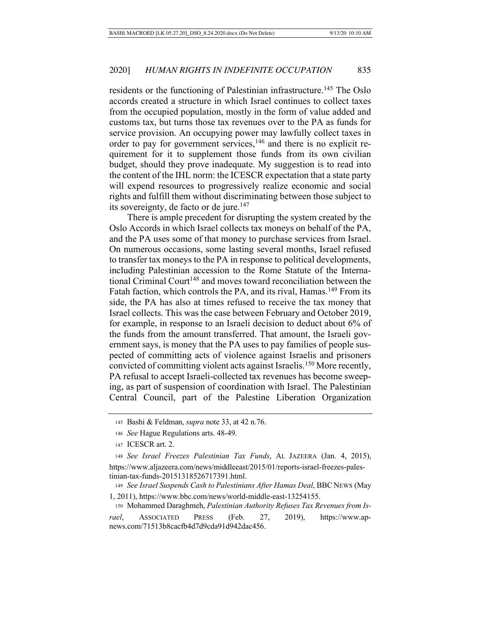residents or the functioning of Palestinian infrastructure.<sup>145</sup> The Oslo accords created a structure in which Israel continues to collect taxes from the occupied population, mostly in the form of value added and customs tax, but turns those tax revenues over to the PA as funds for service provision. An occupying power may lawfully collect taxes in order to pay for government services,  $146$  and there is no explicit requirement for it to supplement those funds from its own civilian budget, should they prove inadequate. My suggestion is to read into the content of the IHL norm: the ICESCR expectation that a state party will expend resources to progressively realize economic and social rights and fulfill them without discriminating between those subject to its sovereignty, de facto or de jure. $147$ 

There is ample precedent for disrupting the system created by the Oslo Accords in which Israel collects tax moneys on behalf of the PA, and the PA uses some of that money to purchase services from Israel. On numerous occasions, some lasting several months, Israel refused to transfer tax moneys to the PA in response to political developments, including Palestinian accession to the Rome Statute of the International Criminal Court<sup>148</sup> and moves toward reconciliation between the Fatah faction, which controls the PA, and its rival, Hamas.<sup>149</sup> From its side, the PA has also at times refused to receive the tax money that Israel collects. This was the case between February and October 2019, for example, in response to an Israeli decision to deduct about 6% of the funds from the amount transferred. That amount, the Israeli government says, is money that the PA uses to pay families of people suspected of committing acts of violence against Israelis and prisoners convicted of committing violent acts against Israelis.150 More recently, PA refusal to accept Israeli-collected tax revenues has become sweeping, as part of suspension of coordination with Israel. The Palestinian Central Council, part of the Palestine Liberation Organization

<sup>149</sup> *See Israel Suspends Cash to Palestinians After Hamas Deal*, BBC NEWS (May 1, 2011), https://www.bbc.com/news/world-middle-east-13254155.

150 Mohammed Daraghmeh, *Palestinian Authority Refuses Tax Revenues from Is-*

 <sup>145</sup> Bashi & Feldman, *supra* note 33, at 42 n.76.

<sup>146</sup> *See* Hague Regulations arts. 48-49.

 <sup>147</sup> ICESCR art. 2.

<sup>148</sup> *See Israel Freezes Palestinian Tax Funds*, AL JAZEERA (Jan. 4, 2015), https://www.aljazeera.com/news/middleeast/2015/01/reports-israel-freezes-palestinian-tax-funds-20151318526717391.html.

*rael*, ASSOCIATED PRESS (Feb. 27, 2019), https://www.apnews.com/71513b8cacfb4d7d9cda91d942dac456.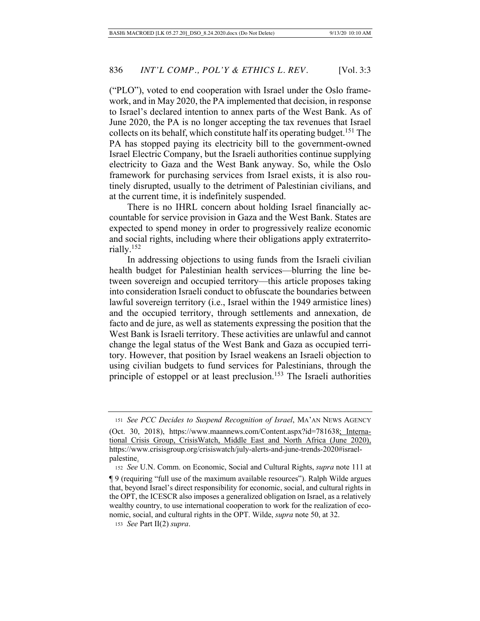("PLO"), voted to end cooperation with Israel under the Oslo framework, and in May 2020, the PA implemented that decision, in response to Israel's declared intention to annex parts of the West Bank. As of June 2020, the PA is no longer accepting the tax revenues that Israel collects on its behalf, which constitute half its operating budget.151 The PA has stopped paying its electricity bill to the government-owned Israel Electric Company, but the Israeli authorities continue supplying electricity to Gaza and the West Bank anyway. So, while the Oslo framework for purchasing services from Israel exists, it is also routinely disrupted, usually to the detriment of Palestinian civilians, and at the current time, it is indefinitely suspended.

There is no IHRL concern about holding Israel financially accountable for service provision in Gaza and the West Bank. States are expected to spend money in order to progressively realize economic and social rights, including where their obligations apply extraterritorially.152

In addressing objections to using funds from the Israeli civilian health budget for Palestinian health services—blurring the line between sovereign and occupied territory—this article proposes taking into consideration Israeli conduct to obfuscate the boundaries between lawful sovereign territory (i.e., Israel within the 1949 armistice lines) and the occupied territory, through settlements and annexation, de facto and de jure, as well as statements expressing the position that the West Bank is Israeli territory. These activities are unlawful and cannot change the legal status of the West Bank and Gaza as occupied territory. However, that position by Israel weakens an Israeli objection to using civilian budgets to fund services for Palestinians, through the principle of estoppel or at least preclusion.<sup>153</sup> The Israeli authorities

<sup>153</sup> *See* Part II(2) *supra*.

<sup>151</sup> *See PCC Decides to Suspend Recognition of Israel*, MA'AN NEWS AGENCY

<sup>(</sup>Oct. 30, 2018), https://www.maannews.com/Content.aspx?id=781638; International Crisis Group, CrisisWatch, Middle East and North Africa (June 2020), https://www.crisisgroup.org/crisiswatch/july-alerts-and-june-trends-2020#israelpalestine.

<sup>152</sup> *See* U.N. Comm. on Economic, Social and Cultural Rights, *supra* note 111 at

<sup>¶ 9 (</sup>requiring "full use of the maximum available resources"). Ralph Wilde argues that, beyond Israel's direct responsibility for economic, social, and cultural rights in the OPT, the ICESCR also imposes a generalized obligation on Israel, as a relatively wealthy country, to use international cooperation to work for the realization of economic, social, and cultural rights in the OPT. Wilde, *supra* note 50, at 32.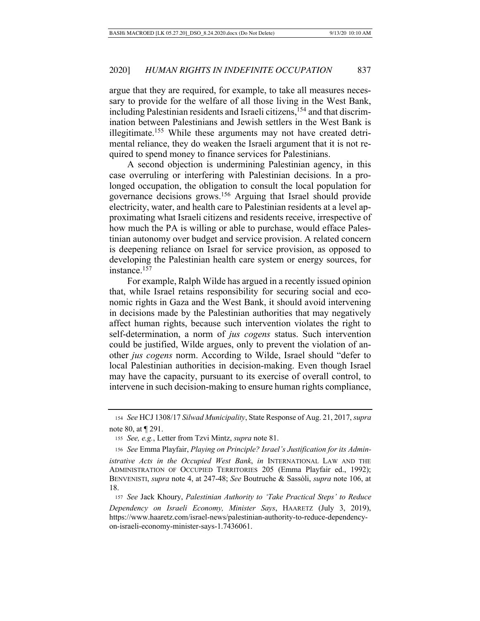argue that they are required, for example, to take all measures necessary to provide for the welfare of all those living in the West Bank, including Palestinian residents and Israeli citizens,<sup>154</sup> and that discrimination between Palestinians and Jewish settlers in the West Bank is illegitimate.<sup>155</sup> While these arguments may not have created detrimental reliance, they do weaken the Israeli argument that it is not required to spend money to finance services for Palestinians.

A second objection is undermining Palestinian agency, in this case overruling or interfering with Palestinian decisions. In a prolonged occupation, the obligation to consult the local population for governance decisions grows.156 Arguing that Israel should provide electricity, water, and health care to Palestinian residents at a level approximating what Israeli citizens and residents receive, irrespective of how much the PA is willing or able to purchase, would efface Palestinian autonomy over budget and service provision. A related concern is deepening reliance on Israel for service provision, as opposed to developing the Palestinian health care system or energy sources, for instance.157

For example, Ralph Wilde has argued in a recently issued opinion that, while Israel retains responsibility for securing social and economic rights in Gaza and the West Bank, it should avoid intervening in decisions made by the Palestinian authorities that may negatively affect human rights, because such intervention violates the right to self-determination, a norm of *jus cogens* status. Such intervention could be justified, Wilde argues, only to prevent the violation of another *jus cogens* norm. According to Wilde, Israel should "defer to local Palestinian authorities in decision-making. Even though Israel may have the capacity, pursuant to its exercise of overall control, to intervene in such decision-making to ensure human rights compliance,

<sup>154</sup> *See* HCJ 1308/17 *Silwad Municipality*, State Response of Aug. 21, 2017, *supra*  note 80, at ¶ 291.

<sup>155</sup> *See, e.g.*, Letter from Tzvi Mintz, *supra* note 81.

156 *See* Emma Playfair, *Playing on Principle? Israel's Justification for its Administrative Acts in the Occupied West Bank*, *in* INTERNATIONAL LAW AND THE ADMINISTRATION OF OCCUPIED TERRITORIES 205 (Emma Playfair ed., 1992); BENVENISTI, *supra* note 4, at 247-48; *See* Boutruche & Sassòli, *supra* note 106, at 18.

<sup>157</sup> *See* Jack Khoury, *Palestinian Authority to 'Take Practical Steps' to Reduce Dependency on Israeli Economy, Minister Says*, HAARETZ (July 3, 2019), https://www.haaretz.com/israel-news/palestinian-authority-to-reduce-dependencyon-israeli-economy-minister-says-1.7436061.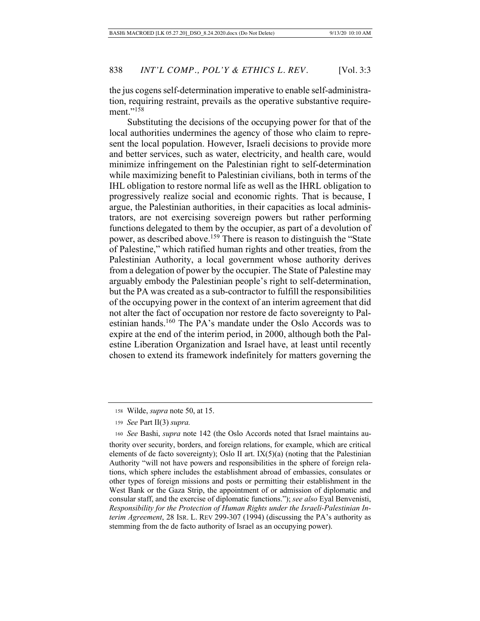the jus cogens self-determination imperative to enable self-administration, requiring restraint, prevails as the operative substantive requirement."<sup>158</sup>

Substituting the decisions of the occupying power for that of the local authorities undermines the agency of those who claim to represent the local population. However, Israeli decisions to provide more and better services, such as water, electricity, and health care, would minimize infringement on the Palestinian right to self-determination while maximizing benefit to Palestinian civilians, both in terms of the IHL obligation to restore normal life as well as the IHRL obligation to progressively realize social and economic rights. That is because, I argue, the Palestinian authorities, in their capacities as local administrators, are not exercising sovereign powers but rather performing functions delegated to them by the occupier, as part of a devolution of power, as described above.159 There is reason to distinguish the "State of Palestine," which ratified human rights and other treaties, from the Palestinian Authority, a local government whose authority derives from a delegation of power by the occupier. The State of Palestine may arguably embody the Palestinian people's right to self-determination, but the PA was created as a sub-contractor to fulfill the responsibilities of the occupying power in the context of an interim agreement that did not alter the fact of occupation nor restore de facto sovereignty to Palestinian hands.160 The PA's mandate under the Oslo Accords was to expire at the end of the interim period, in 2000, although both the Palestine Liberation Organization and Israel have, at least until recently chosen to extend its framework indefinitely for matters governing the

 <sup>158</sup> Wilde, *supra* note 50, at 15.

<sup>159</sup> *See* Part II(3) *supra.*

<sup>160</sup> *See* Bashi, *supra* note 142 (the Oslo Accords noted that Israel maintains authority over security, borders, and foreign relations, for example, which are critical elements of de facto sovereignty); Oslo II art.  $IX(5)(a)$  (noting that the Palestinian Authority "will not have powers and responsibilities in the sphere of foreign relations, which sphere includes the establishment abroad of embassies, consulates or other types of foreign missions and posts or permitting their establishment in the West Bank or the Gaza Strip, the appointment of or admission of diplomatic and consular staff, and the exercise of diplomatic functions."); *see also* Eyal Benvenisti, *Responsibility for the Protection of Human Rights under the Israeli-Palestinian Interim Agreement*, 28 ISR. L. REV 299-307 (1994) (discussing the PA's authority as stemming from the de facto authority of Israel as an occupying power).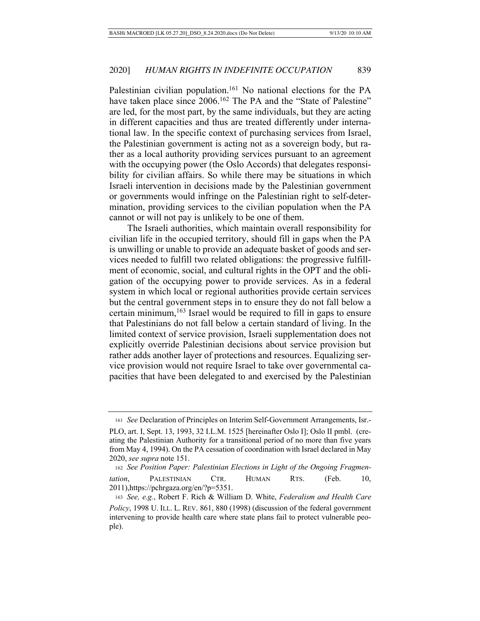Palestinian civilian population.<sup>161</sup> No national elections for the PA have taken place since 2006.<sup>162</sup> The PA and the "State of Palestine" are led, for the most part, by the same individuals, but they are acting in different capacities and thus are treated differently under international law. In the specific context of purchasing services from Israel, the Palestinian government is acting not as a sovereign body, but rather as a local authority providing services pursuant to an agreement with the occupying power (the Oslo Accords) that delegates responsibility for civilian affairs. So while there may be situations in which Israeli intervention in decisions made by the Palestinian government or governments would infringe on the Palestinian right to self-determination, providing services to the civilian population when the PA cannot or will not pay is unlikely to be one of them.

The Israeli authorities, which maintain overall responsibility for civilian life in the occupied territory, should fill in gaps when the PA is unwilling or unable to provide an adequate basket of goods and services needed to fulfill two related obligations: the progressive fulfillment of economic, social, and cultural rights in the OPT and the obligation of the occupying power to provide services. As in a federal system in which local or regional authorities provide certain services but the central government steps in to ensure they do not fall below a certain minimum,<sup>163</sup> Israel would be required to fill in gaps to ensure that Palestinians do not fall below a certain standard of living. In the limited context of service provision, Israeli supplementation does not explicitly override Palestinian decisions about service provision but rather adds another layer of protections and resources. Equalizing service provision would not require Israel to take over governmental capacities that have been delegated to and exercised by the Palestinian

<sup>161</sup> *See* Declaration of Principles on Interim Self-Government Arrangements, Isr.-

PLO, art. I, Sept. 13, 1993, 32 I.L.M. 1525 [hereinafter Oslo I]; Oslo II pmbl. (creating the Palestinian Authority for a transitional period of no more than five years from May 4, 1994). On the PA cessation of coordination with Israel declared in May 2020, *see supra* note 151.

162 *See Position Paper: Palestinian Elections in Light of the Ongoing Fragmentation*, PALESTINIAN CTR. HUMAN RTS. (Feb. 10, 2011),https://pchrgaza.org/en/?p=5351.

<sup>163</sup> *See, e.g.*, Robert F. Rich & William D. White, *Federalism and Health Care Policy*, 1998 U. ILL. L. REV. 861, 880 (1998) (discussion of the federal government intervening to provide health care where state plans fail to protect vulnerable people).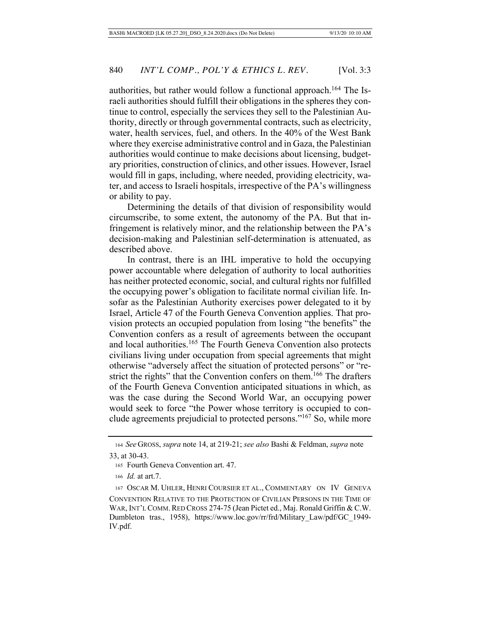authorities, but rather would follow a functional approach.<sup>164</sup> The Israeli authorities should fulfill their obligations in the spheres they continue to control, especially the services they sell to the Palestinian Authority, directly or through governmental contracts, such as electricity, water, health services, fuel, and others. In the 40% of the West Bank where they exercise administrative control and in Gaza, the Palestinian authorities would continue to make decisions about licensing, budgetary priorities, construction of clinics, and other issues. However, Israel would fill in gaps, including, where needed, providing electricity, water, and access to Israeli hospitals, irrespective of the PA's willingness or ability to pay.

Determining the details of that division of responsibility would circumscribe, to some extent, the autonomy of the PA. But that infringement is relatively minor, and the relationship between the PA's decision-making and Palestinian self-determination is attenuated, as described above.

In contrast, there is an IHL imperative to hold the occupying power accountable where delegation of authority to local authorities has neither protected economic, social, and cultural rights nor fulfilled the occupying power's obligation to facilitate normal civilian life. Insofar as the Palestinian Authority exercises power delegated to it by Israel, Article 47 of the Fourth Geneva Convention applies. That provision protects an occupied population from losing "the benefits" the Convention confers as a result of agreements between the occupant and local authorities.<sup>165</sup> The Fourth Geneva Convention also protects civilians living under occupation from special agreements that might otherwise "adversely affect the situation of protected persons" or "restrict the rights" that the Convention confers on them.<sup>166</sup> The drafters of the Fourth Geneva Convention anticipated situations in which, as was the case during the Second World War, an occupying power would seek to force "the Power whose territory is occupied to conclude agreements prejudicial to protected persons."167 So, while more

<sup>164</sup> *See* GROSS, *supra* note 14, at 219-21; *see also* Bashi & Feldman, *supra* note 33, at 30-43.

 <sup>165</sup> Fourth Geneva Convention art. 47.

<sup>166</sup> *Id.* at art.7.

 <sup>167</sup> OSCAR M. UHLER, HENRI COURSIER ET AL., COMMENTARY ON IV GENEVA CONVENTION RELATIVE TO THE PROTECTION OF CIVILIAN PERSONS IN THE TIME OF WAR, INT'L COMM. RED CROSS 274-75 (Jean Pictet ed., Maj. Ronald Griffin & C.W. Dumbleton tras., 1958), https://www.loc.gov/rr/frd/Military\_Law/pdf/GC\_1949- IV.pdf.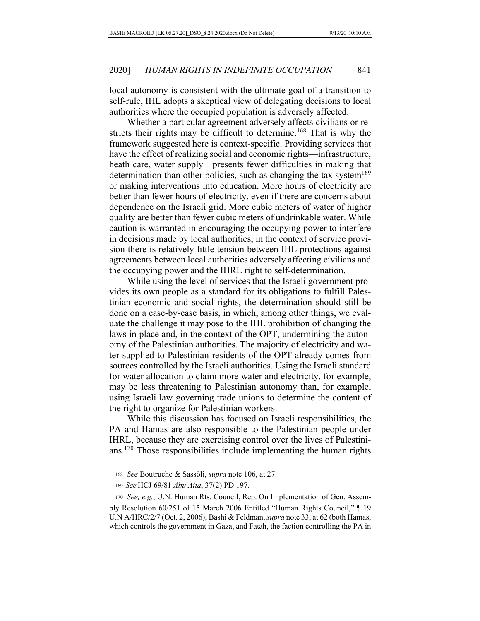local autonomy is consistent with the ultimate goal of a transition to self-rule, IHL adopts a skeptical view of delegating decisions to local authorities where the occupied population is adversely affected.

Whether a particular agreement adversely affects civilians or restricts their rights may be difficult to determine.<sup>168</sup> That is why the framework suggested here is context-specific. Providing services that have the effect of realizing social and economic rights—infrastructure, heath care, water supply—presents fewer difficulties in making that determination than other policies, such as changing the tax system<sup>169</sup> or making interventions into education. More hours of electricity are better than fewer hours of electricity, even if there are concerns about dependence on the Israeli grid. More cubic meters of water of higher quality are better than fewer cubic meters of undrinkable water. While caution is warranted in encouraging the occupying power to interfere in decisions made by local authorities, in the context of service provision there is relatively little tension between IHL protections against agreements between local authorities adversely affecting civilians and the occupying power and the IHRL right to self-determination.

While using the level of services that the Israeli government provides its own people as a standard for its obligations to fulfill Palestinian economic and social rights, the determination should still be done on a case-by-case basis, in which, among other things, we evaluate the challenge it may pose to the IHL prohibition of changing the laws in place and, in the context of the OPT, undermining the autonomy of the Palestinian authorities. The majority of electricity and water supplied to Palestinian residents of the OPT already comes from sources controlled by the Israeli authorities. Using the Israeli standard for water allocation to claim more water and electricity, for example, may be less threatening to Palestinian autonomy than, for example, using Israeli law governing trade unions to determine the content of the right to organize for Palestinian workers.

While this discussion has focused on Israeli responsibilities, the PA and Hamas are also responsible to the Palestinian people under IHRL, because they are exercising control over the lives of Palestinians.170 Those responsibilities include implementing the human rights

<sup>168</sup> *See* Boutruche & Sassòli, *supra* note 106, at 27.

<sup>169</sup> *See* HCJ 69/81 *Abu Aita*, 37(2) PD 197.

<sup>170</sup> *See, e.g.*, U.N. Human Rts. Council, Rep. On Implementation of Gen. Assembly Resolution 60/251 of 15 March 2006 Entitled "Human Rights Council," ¶ 19 U.N A/HRC/2/7 (Oct. 2, 2006); Bashi & Feldman, *supra* note 33, at 62 (both Hamas, which controls the government in Gaza, and Fatah, the faction controlling the PA in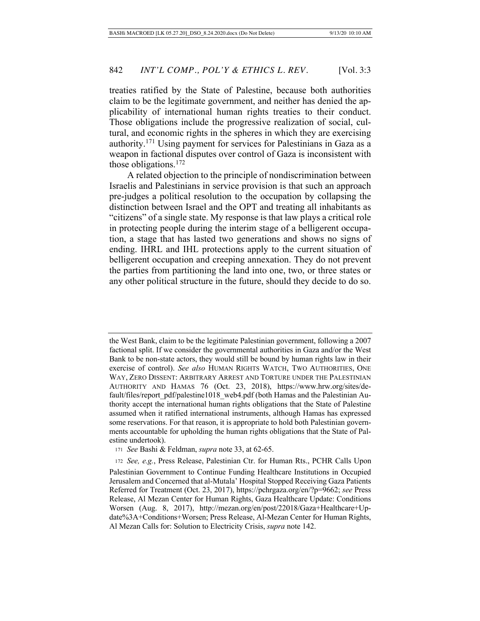treaties ratified by the State of Palestine, because both authorities claim to be the legitimate government, and neither has denied the applicability of international human rights treaties to their conduct. Those obligations include the progressive realization of social, cultural, and economic rights in the spheres in which they are exercising authority.171 Using payment for services for Palestinians in Gaza as a weapon in factional disputes over control of Gaza is inconsistent with those obligations. $172$ 

A related objection to the principle of nondiscrimination between Israelis and Palestinians in service provision is that such an approach pre-judges a political resolution to the occupation by collapsing the distinction between Israel and the OPT and treating all inhabitants as "citizens" of a single state. My response is that law plays a critical role in protecting people during the interim stage of a belligerent occupation, a stage that has lasted two generations and shows no signs of ending. IHRL and IHL protections apply to the current situation of belligerent occupation and creeping annexation. They do not prevent the parties from partitioning the land into one, two, or three states or any other political structure in the future, should they decide to do so.

the West Bank, claim to be the legitimate Palestinian government, following a 2007 factional split. If we consider the governmental authorities in Gaza and/or the West Bank to be non-state actors, they would still be bound by human rights law in their exercise of control). *See also* HUMAN RIGHTS WATCH, TWO AUTHORITIES, ONE WAY, ZERO DISSENT: ARBITRARY ARREST AND TORTURE UNDER THE PALESTINIAN AUTHORITY AND HAMAS 76 (Oct. 23, 2018), https://www.hrw.org/sites/default/files/report\_pdf/palestine1018\_web4.pdf (both Hamas and the Palestinian Authority accept the international human rights obligations that the State of Palestine assumed when it ratified international instruments, although Hamas has expressed some reservations. For that reason, it is appropriate to hold both Palestinian governments accountable for upholding the human rights obligations that the State of Palestine undertook).

<sup>171</sup> *See* Bashi & Feldman, *supra* note 33, at 62-65.

<sup>172</sup> *See, e.g.*, Press Release, Palestinian Ctr. for Human Rts., PCHR Calls Upon Palestinian Government to Continue Funding Healthcare Institutions in Occupied Jerusalem and Concerned that al-Mutala' Hospital Stopped Receiving Gaza Patients Referred for Treatment (Oct. 23, 2017), https://pchrgaza.org/en/?p=9662; *see* Press Release, Al Mezan Center for Human Rights, Gaza Healthcare Update: Conditions Worsen (Aug. 8, 2017), http://mezan.org/en/post/22018/Gaza+Healthcare+Update%3A+Conditions+Worsen; Press Release, Al-Mezan Center for Human Rights, Al Mezan Calls for: Solution to Electricity Crisis, *supra* note 142.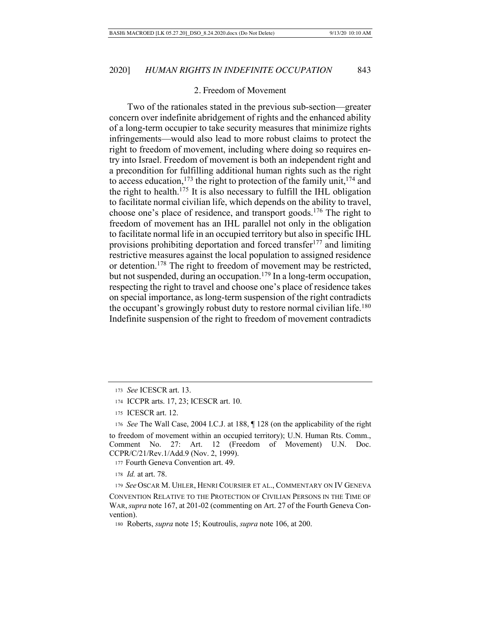#### 2. Freedom of Movement

Two of the rationales stated in the previous sub-section—greater concern over indefinite abridgement of rights and the enhanced ability of a long-term occupier to take security measures that minimize rights infringements—would also lead to more robust claims to protect the right to freedom of movement, including where doing so requires entry into Israel. Freedom of movement is both an independent right and a precondition for fulfilling additional human rights such as the right to access education,<sup>173</sup> the right to protection of the family unit,  $174$  and the right to health.<sup>175</sup> It is also necessary to fulfill the IHL obligation to facilitate normal civilian life, which depends on the ability to travel, choose one's place of residence, and transport goods.176 The right to freedom of movement has an IHL parallel not only in the obligation to facilitate normal life in an occupied territory but also in specific IHL provisions prohibiting deportation and forced transfer<sup>177</sup> and limiting restrictive measures against the local population to assigned residence or detention.178 The right to freedom of movement may be restricted, but not suspended, during an occupation.<sup>179</sup> In a long-term occupation, respecting the right to travel and choose one's place of residence takes on special importance, as long-term suspension of the right contradicts the occupant's growingly robust duty to restore normal civilian life.<sup>180</sup> Indefinite suspension of the right to freedom of movement contradicts

177 Fourth Geneva Convention art. 49.

<sup>173</sup> *See* ICESCR art. 13.

 <sup>174</sup> ICCPR arts. 17, 23; ICESCR art. 10.

 <sup>175</sup> ICESCR art. 12.

<sup>176</sup> *See* The Wall Case, 2004 I.C.J. at 188, ¶ 128 (on the applicability of the right to freedom of movement within an occupied territory); U.N. Human Rts. Comm., Comment No. 27: Art. 12 (Freedom of Movement) U.N. Doc. CCPR/C/21/Rev.1/Add.9 (Nov. 2, 1999).

<sup>178</sup> *Id.* at art. 78.

<sup>179</sup> *See* OSCAR M. UHLER, HENRI COURSIER ET AL., COMMENTARY ON IV GENEVA CONVENTION RELATIVE TO THE PROTECTION OF CIVILIAN PERSONS IN THE TIME OF WAR,*supra* note 167, at 201-02 (commenting on Art. 27 of the Fourth Geneva Convention).

 <sup>180</sup> Roberts, *supra* note 15; Koutroulis, *supra* note 106, at 200.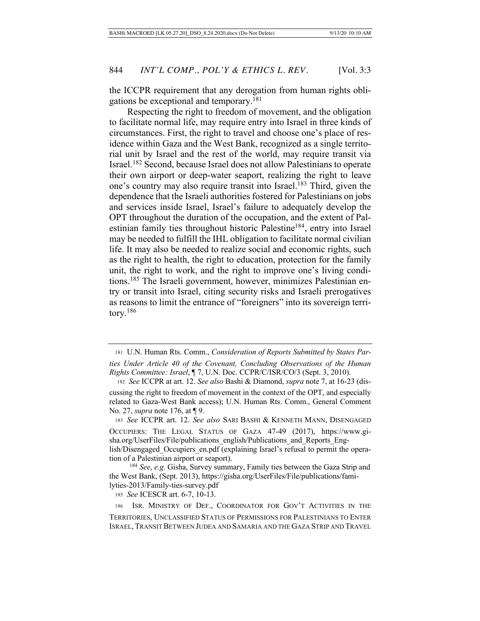the ICCPR requirement that any derogation from human rights obligations be exceptional and temporary.181

Respecting the right to freedom of movement, and the obligation to facilitate normal life, may require entry into Israel in three kinds of circumstances. First, the right to travel and choose one's place of residence within Gaza and the West Bank, recognized as a single territorial unit by Israel and the rest of the world, may require transit via Israel.182 Second, because Israel does not allow Palestinians to operate their own airport or deep-water seaport, realizing the right to leave one's country may also require transit into Israel.<sup>183</sup> Third, given the dependence that the Israeli authorities fostered for Palestinians on jobs and services inside Israel, Israel's failure to adequately develop the OPT throughout the duration of the occupation, and the extent of Palestinian family ties throughout historic Palestine<sup>184</sup>, entry into Israel may be needed to fulfill the IHL obligation to facilitate normal civilian life. It may also be needed to realize social and economic rights, such as the right to health, the right to education, protection for the family unit, the right to work, and the right to improve one's living conditions.185 The Israeli government, however, minimizes Palestinian entry or transit into Israel, citing security risks and Israeli prerogatives as reasons to limit the entrance of "foreigners" into its sovereign territory.186

<sup>183</sup> *See* ICCPR art. 12. *See also* SARI BASHI & KENNETH MANN, DISENGAGED

OCCUPIERS: THE LEGAL STATUS OF GAZA 47-49 (2017), https://www.gisha.org/UserFiles/File/publications\_english/Publications\_and\_Reports\_English/Disengaged Occupiers en.pdf (explaining Israel's refusal to permit the opera-

tion of a Palestinian airport or seaport).

<sup>184</sup> *See*, *e.g.* Gisha, Survey summary, Family ties between the Gaza Strip and the West Bank, (Sept. 2013), https://gisha.org/UserFiles/File/publications/familyties-2013/Family-ties-survey.pdf

<sup>185</sup> *See* ICESCR art. 6-7, 10-13.

186 ISR. MINISTRY OF DEF., COORDINATOR FOR GOV'T ACTIVITIES IN THE

TERRITORIES, UNCLASSIFIED STATUS OF PERMISSIONS FOR PALESTINIANS TO ENTER ISRAEL, TRANSIT BETWEEN JUDEA AND SAMARIA AND THE GAZA STRIP AND TRAVEL

 <sup>181</sup> U.N. Human Rts. Comm., *Consideration of Reports Submitted by States Parties Under Article 40 of the Covenant, Concluding Observations of the Human Rights Committee: Israel*, ¶ 7, U.N. Doc. CCPR/C/ISR/CO/3 (Sept. 3, 2010).

 <sup>182</sup> *See* ICCPR at art. 12. *See also* Bashi & Diamond, *supra* note 7, at 16-23 (discussing the right to freedom of movement in the context of the OPT, and especially related to Gaza-West Bank access); U.N. Human Rts. Comm., General Comment No. 27, *supra* note 176, at ¶ 9.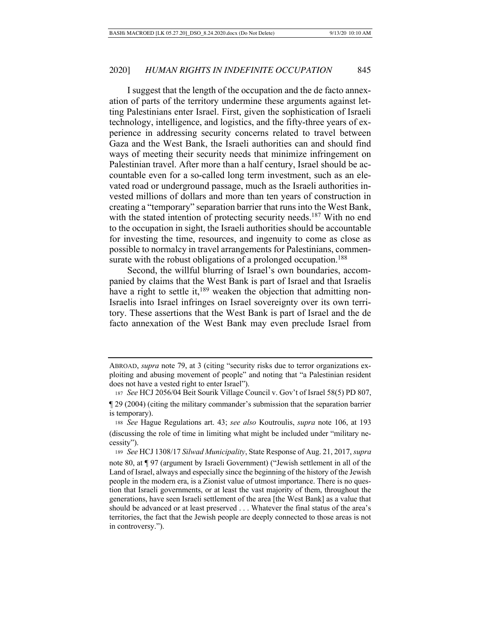I suggest that the length of the occupation and the de facto annexation of parts of the territory undermine these arguments against letting Palestinians enter Israel. First, given the sophistication of Israeli technology, intelligence, and logistics, and the fifty-three years of experience in addressing security concerns related to travel between Gaza and the West Bank, the Israeli authorities can and should find ways of meeting their security needs that minimize infringement on Palestinian travel. After more than a half century, Israel should be accountable even for a so-called long term investment, such as an elevated road or underground passage, much as the Israeli authorities invested millions of dollars and more than ten years of construction in creating a "temporary" separation barrier that runs into the West Bank, with the stated intention of protecting security needs.<sup>187</sup> With no end to the occupation in sight, the Israeli authorities should be accountable for investing the time, resources, and ingenuity to come as close as possible to normalcy in travel arrangements for Palestinians, commensurate with the robust obligations of a prolonged occupation.<sup>188</sup>

Second, the willful blurring of Israel's own boundaries, accompanied by claims that the West Bank is part of Israel and that Israelis have a right to settle it,  $189$  weaken the objection that admitting non-Israelis into Israel infringes on Israel sovereignty over its own territory. These assertions that the West Bank is part of Israel and the de facto annexation of the West Bank may even preclude Israel from

ABROAD, *supra* note 79, at 3 (citing "security risks due to terror organizations exploiting and abusing movement of people" and noting that "a Palestinian resident does not have a vested right to enter Israel").

 <sup>187</sup> *See* HCJ 2056/04 Beit Sourik Village Council v. Gov't of Israel 58(5) PD 807,

<sup>¶ 29 (2004) (</sup>citing the military commander's submission that the separation barrier is temporary).

<sup>188</sup> *See* Hague Regulations art. 43; *see also* Koutroulis, *supra* note 106, at 193 (discussing the role of time in limiting what might be included under "military necessity").

<sup>189</sup> *See* HCJ 1308/17 *Silwad Municipality*, State Response of Aug. 21, 2017, *supra* 

note 80, at ¶ 97 (argument by Israeli Government) ("Jewish settlement in all of the Land of Israel, always and especially since the beginning of the history of the Jewish people in the modern era, is a Zionist value of utmost importance. There is no question that Israeli governments, or at least the vast majority of them, throughout the generations, have seen Israeli settlement of the area [the West Bank] as a value that should be advanced or at least preserved . . . Whatever the final status of the area's territories, the fact that the Jewish people are deeply connected to those areas is not in controversy.").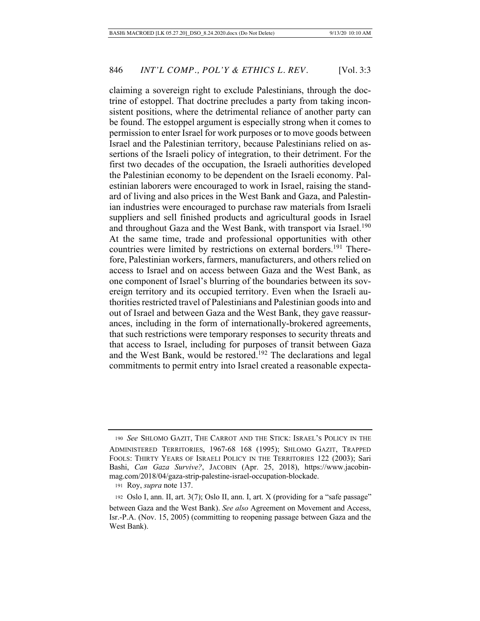claiming a sovereign right to exclude Palestinians, through the doctrine of estoppel. That doctrine precludes a party from taking inconsistent positions, where the detrimental reliance of another party can be found. The estoppel argument is especially strong when it comes to permission to enter Israel for work purposes or to move goods between Israel and the Palestinian territory, because Palestinians relied on assertions of the Israeli policy of integration, to their detriment. For the first two decades of the occupation, the Israeli authorities developed the Palestinian economy to be dependent on the Israeli economy. Palestinian laborers were encouraged to work in Israel, raising the standard of living and also prices in the West Bank and Gaza, and Palestinian industries were encouraged to purchase raw materials from Israeli suppliers and sell finished products and agricultural goods in Israel and throughout Gaza and the West Bank, with transport via Israel.<sup>190</sup> At the same time, trade and professional opportunities with other countries were limited by restrictions on external borders.<sup>191</sup> Therefore, Palestinian workers, farmers, manufacturers, and others relied on access to Israel and on access between Gaza and the West Bank, as one component of Israel's blurring of the boundaries between its sovereign territory and its occupied territory. Even when the Israeli authorities restricted travel of Palestinians and Palestinian goods into and out of Israel and between Gaza and the West Bank, they gave reassurances, including in the form of internationally-brokered agreements, that such restrictions were temporary responses to security threats and that access to Israel, including for purposes of transit between Gaza and the West Bank, would be restored.<sup>192</sup> The declarations and legal commitments to permit entry into Israel created a reasonable expecta-

<sup>190</sup> *See* SHLOMO GAZIT, THE CARROT AND THE STICK: ISRAEL'S POLICY IN THE ADMINISTERED TERRITORIES, 1967-68 168 (1995); SHLOMO GAZIT, TRAPPED FOOLS: THIRTY YEARS OF ISRAELI POLICY IN THE TERRITORIES 122 (2003); Sari Bashi, *Can Gaza Survive?*, JACOBIN (Apr. 25, 2018), https://www.jacobinmag.com/2018/04/gaza-strip-palestine-israel-occupation-blockade.

 <sup>191</sup> Roy, *supra* note 137.

 <sup>192</sup> Oslo I, ann. II, art. 3(7); Oslo II, ann. I, art. X (providing for a "safe passage" between Gaza and the West Bank). *See also* Agreement on Movement and Access, Isr.-P.A. (Nov. 15, 2005) (committing to reopening passage between Gaza and the West Bank).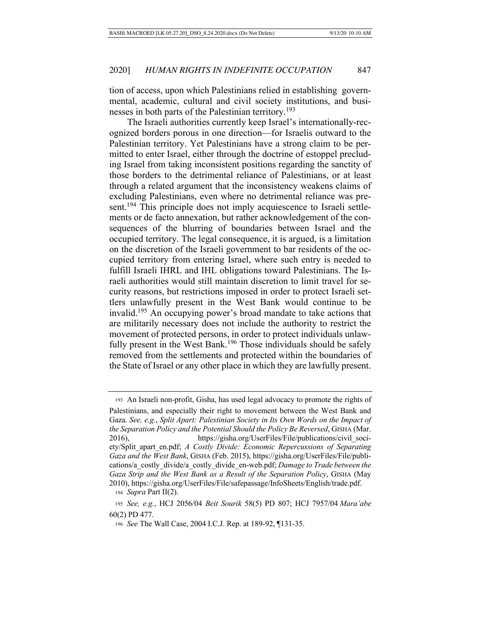tion of access, upon which Palestinians relied in establishing governmental, academic, cultural and civil society institutions, and businesses in both parts of the Palestinian territory.<sup>193</sup>

The Israeli authorities currently keep Israel's internationally-recognized borders porous in one direction—for Israelis outward to the Palestinian territory. Yet Palestinians have a strong claim to be permitted to enter Israel, either through the doctrine of estoppel precluding Israel from taking inconsistent positions regarding the sanctity of those borders to the detrimental reliance of Palestinians, or at least through a related argument that the inconsistency weakens claims of excluding Palestinians, even where no detrimental reliance was present.<sup>194</sup> This principle does not imply acquiescence to Israeli settlements or de facto annexation, but rather acknowledgement of the consequences of the blurring of boundaries between Israel and the occupied territory. The legal consequence, it is argued, is a limitation on the discretion of the Israeli government to bar residents of the occupied territory from entering Israel, where such entry is needed to fulfill Israeli IHRL and IHL obligations toward Palestinians. The Israeli authorities would still maintain discretion to limit travel for security reasons, but restrictions imposed in order to protect Israeli settlers unlawfully present in the West Bank would continue to be invalid.195 An occupying power's broad mandate to take actions that are militarily necessary does not include the authority to restrict the movement of protected persons, in order to protect individuals unlawfully present in the West Bank.<sup>196</sup> Those individuals should be safely removed from the settlements and protected within the boundaries of the State of Israel or any other place in which they are lawfully present.

 <sup>193</sup> An Israeli non-profit, Gisha, has used legal advocacy to promote the rights of Palestinians, and especially their right to movement between the West Bank and Gaza. *See, e.g.*, *Split Apart: Palestinian Society in Its Own Words on the Impact of the Separation Policy and the Potential Should the Policy Be Reversed*, GISHA (Mar. 2016), https://gisha.org/UserFiles/File/publications/civil\_society/Split\_apart\_en.pdf; *A Costly Divide: Economic Repercussions of Separating Gaza and the West Bank*, GISHA (Feb. 2015), https://gisha.org/UserFiles/File/publications/a\_costly\_divide/a\_costly\_divide\_en-web.pdf; *Damage to Trade between the Gaza Strip and the West Bank as a Result of the Separation Policy*, GISHA (May 2010), https://gisha.org/UserFiles/File/safepassage/InfoSheets/English/trade.pdf.

<sup>194</sup> *Supra* Part II(2).

<sup>195</sup> *See, e.g.*, HCJ 2056/04 *Beit Sourik* 58(5) PD 807; HCJ 7957/04 *Mara'abe*  60(2) PD 477.

<sup>196</sup> *See* The Wall Case, 2004 I.C.J. Rep. at 189-92, ¶131-35.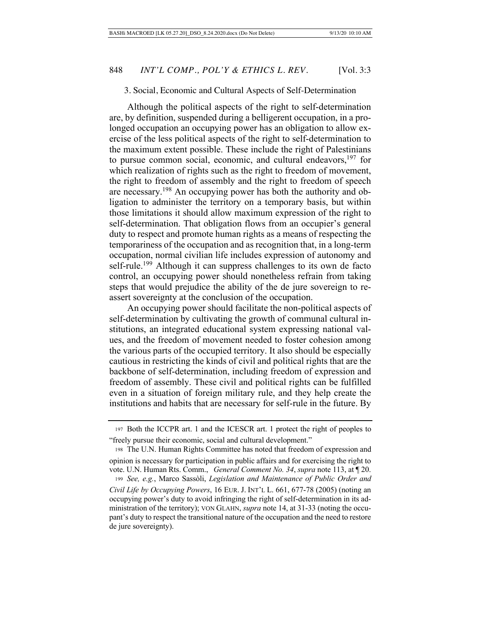### 3. Social, Economic and Cultural Aspects of Self-Determination

Although the political aspects of the right to self-determination are, by definition, suspended during a belligerent occupation, in a prolonged occupation an occupying power has an obligation to allow exercise of the less political aspects of the right to self-determination to the maximum extent possible. These include the right of Palestinians to pursue common social, economic, and cultural endeavors,  $197$  for which realization of rights such as the right to freedom of movement, the right to freedom of assembly and the right to freedom of speech are necessary.198 An occupying power has both the authority and obligation to administer the territory on a temporary basis, but within those limitations it should allow maximum expression of the right to self-determination. That obligation flows from an occupier's general duty to respect and promote human rights as a means of respecting the temporariness of the occupation and as recognition that, in a long-term occupation, normal civilian life includes expression of autonomy and self-rule.<sup>199</sup> Although it can suppress challenges to its own de facto control, an occupying power should nonetheless refrain from taking steps that would prejudice the ability of the de jure sovereign to reassert sovereignty at the conclusion of the occupation.

An occupying power should facilitate the non-political aspects of self-determination by cultivating the growth of communal cultural institutions, an integrated educational system expressing national values, and the freedom of movement needed to foster cohesion among the various parts of the occupied territory. It also should be especially cautious in restricting the kinds of civil and political rights that are the backbone of self-determination, including freedom of expression and freedom of assembly. These civil and political rights can be fulfilled even in a situation of foreign military rule, and they help create the institutions and habits that are necessary for self-rule in the future. By

 <sup>197</sup> Both the ICCPR art. 1 and the ICESCR art. 1 protect the right of peoples to "freely pursue their economic, social and cultural development."

 <sup>198</sup> The U.N. Human Rights Committee has noted that freedom of expression and opinion is necessary for participation in public affairs and for exercising the right to

vote. U.N. Human Rts. Comm., *General Comment No. 34*, *supra* note 113, at ¶ 20. <sup>199</sup> *See, e.g.*, Marco Sassòli, *Legislation and Maintenance of Public Order and* 

*Civil Life by Occupying Powers*, 16 EUR. J. INT'L L. 661, 677-78 (2005) (noting an occupying power's duty to avoid infringing the right of self-determination in its administration of the territory); VON GLAHN, *supra* note 14, at 31-33 (noting the occupant's duty to respect the transitional nature of the occupation and the need to restore de jure sovereignty).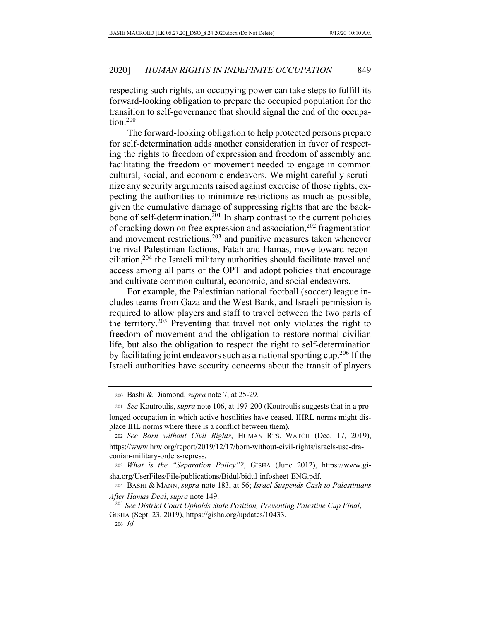respecting such rights, an occupying power can take steps to fulfill its forward-looking obligation to prepare the occupied population for the transition to self-governance that should signal the end of the occupation.200

The forward-looking obligation to help protected persons prepare for self-determination adds another consideration in favor of respecting the rights to freedom of expression and freedom of assembly and facilitating the freedom of movement needed to engage in common cultural, social, and economic endeavors. We might carefully scrutinize any security arguments raised against exercise of those rights, expecting the authorities to minimize restrictions as much as possible, given the cumulative damage of suppressing rights that are the backbone of self-determination.<sup>201</sup> In sharp contrast to the current policies of cracking down on free expression and association,<sup>202</sup> fragmentation and movement restrictions, $2^{03}$  and punitive measures taken whenever the rival Palestinian factions, Fatah and Hamas, move toward reconciliation,204 the Israeli military authorities should facilitate travel and access among all parts of the OPT and adopt policies that encourage and cultivate common cultural, economic, and social endeavors.

For example, the Palestinian national football (soccer) league includes teams from Gaza and the West Bank, and Israeli permission is required to allow players and staff to travel between the two parts of the territory.205 Preventing that travel not only violates the right to freedom of movement and the obligation to restore normal civilian life, but also the obligation to respect the right to self-determination by facilitating joint endeavors such as a national sporting cup.206 If the Israeli authorities have security concerns about the transit of players

 <sup>200</sup> Bashi & Diamond, *supra* note 7, at 25-29.

 <sup>201</sup> *See* Koutroulis, *supra* note 106, at 197-200 (Koutroulis suggests that in a prolonged occupation in which active hostilities have ceased, IHRL norms might displace IHL norms where there is a conflict between them).

<sup>202</sup> *See Born without Civil Rights*, HUMAN RTS. WATCH (Dec. 17, 2019), https://www.hrw.org/report/2019/12/17/born-without-civil-rights/israels-use-draconian-military-orders-repress.

<sup>203</sup> *What is the "Separation Policy"?*, GISHA (June 2012), https://www.gisha.org/UserFiles/File/publications/Bidul/bidul-infosheet-ENG.pdf.

 <sup>204</sup> BASHI & MANN, *supra* note 183, at 56; *Israel Suspends Cash to Palestinians After Hamas Deal*, *supra* note 149.

 <sup>205</sup> *See District Court Upholds State Position, Preventing Palestine Cup Final*, GISHA (Sept. 23, 2019), https://gisha.org/updates/10433. 206 *Id.*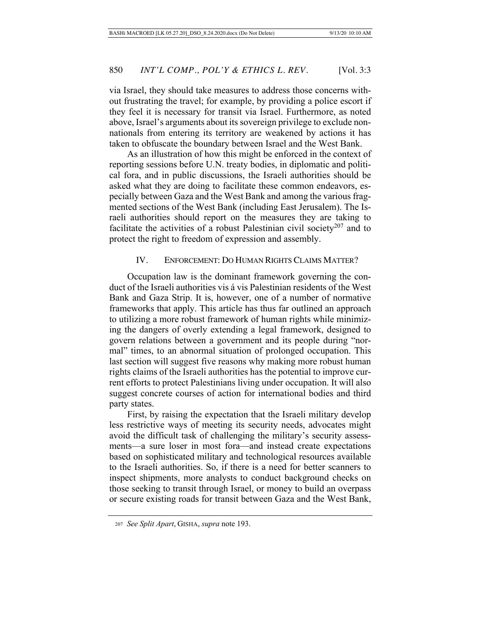via Israel, they should take measures to address those concerns without frustrating the travel; for example, by providing a police escort if they feel it is necessary for transit via Israel. Furthermore, as noted above, Israel's arguments about its sovereign privilege to exclude nonnationals from entering its territory are weakened by actions it has taken to obfuscate the boundary between Israel and the West Bank.

As an illustration of how this might be enforced in the context of reporting sessions before U.N. treaty bodies, in diplomatic and political fora, and in public discussions, the Israeli authorities should be asked what they are doing to facilitate these common endeavors, especially between Gaza and the West Bank and among the various fragmented sections of the West Bank (including East Jerusalem). The Israeli authorities should report on the measures they are taking to facilitate the activities of a robust Palestinian civil society<sup>207</sup> and to protect the right to freedom of expression and assembly.

### IV. ENFORCEMENT: DO HUMAN RIGHTS CLAIMS MATTER?

Occupation law is the dominant framework governing the conduct of the Israeli authorities vis á vis Palestinian residents of the West Bank and Gaza Strip. It is, however, one of a number of normative frameworks that apply. This article has thus far outlined an approach to utilizing a more robust framework of human rights while minimizing the dangers of overly extending a legal framework, designed to govern relations between a government and its people during "normal" times, to an abnormal situation of prolonged occupation. This last section will suggest five reasons why making more robust human rights claims of the Israeli authorities has the potential to improve current efforts to protect Palestinians living under occupation. It will also suggest concrete courses of action for international bodies and third party states.

First, by raising the expectation that the Israeli military develop less restrictive ways of meeting its security needs, advocates might avoid the difficult task of challenging the military's security assessments—a sure loser in most fora—and instead create expectations based on sophisticated military and technological resources available to the Israeli authorities. So, if there is a need for better scanners to inspect shipments, more analysts to conduct background checks on those seeking to transit through Israel, or money to build an overpass or secure existing roads for transit between Gaza and the West Bank,

<sup>207</sup> *See Split Apart*, GISHA, *supra* note 193.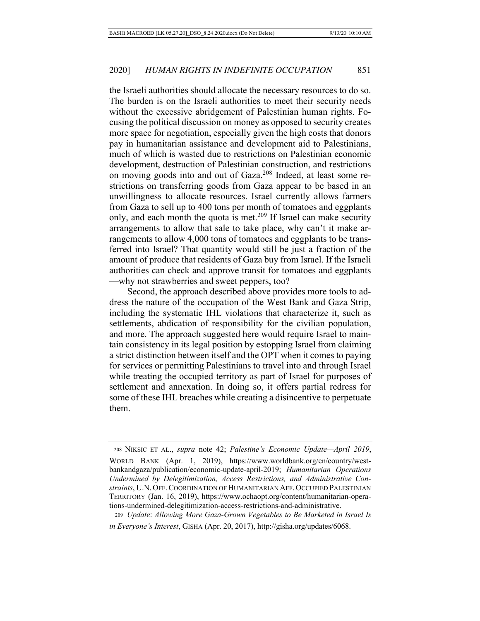the Israeli authorities should allocate the necessary resources to do so. The burden is on the Israeli authorities to meet their security needs without the excessive abridgement of Palestinian human rights. Focusing the political discussion on money as opposed to security creates more space for negotiation, especially given the high costs that donors pay in humanitarian assistance and development aid to Palestinians, much of which is wasted due to restrictions on Palestinian economic development, destruction of Palestinian construction, and restrictions on moving goods into and out of Gaza.208 Indeed, at least some restrictions on transferring goods from Gaza appear to be based in an unwillingness to allocate resources. Israel currently allows farmers from Gaza to sell up to 400 tons per month of tomatoes and eggplants only, and each month the quota is met.<sup>209</sup> If Israel can make security arrangements to allow that sale to take place, why can't it make arrangements to allow 4,000 tons of tomatoes and eggplants to be transferred into Israel? That quantity would still be just a fraction of the amount of produce that residents of Gaza buy from Israel. If the Israeli authorities can check and approve transit for tomatoes and eggplants —why not strawberries and sweet peppers, too?

Second, the approach described above provides more tools to address the nature of the occupation of the West Bank and Gaza Strip, including the systematic IHL violations that characterize it, such as settlements, abdication of responsibility for the civilian population, and more. The approach suggested here would require Israel to maintain consistency in its legal position by estopping Israel from claiming a strict distinction between itself and the OPT when it comes to paying for services or permitting Palestinians to travel into and through Israel while treating the occupied territory as part of Israel for purposes of settlement and annexation. In doing so, it offers partial redress for some of these IHL breaches while creating a disincentive to perpetuate them.

 <sup>208</sup> NIKSIC ET AL., *supra* note 42; *Palestine's Economic Update—April 2019*, WORLD BANK (Apr. 1, 2019), https://www.worldbank.org/en/country/westbankandgaza/publication/economic-update-april-2019; *Humanitarian Operations Undermined by Delegitimization, Access Restrictions, and Administrative Constraints*, U.N. OFF.COORDINATION OF HUMANITARIAN AFF. OCCUPIED PALESTINIAN TERRITORY (Jan. 16, 2019), https://www.ochaopt.org/content/humanitarian-operations-undermined-delegitimization-access-restrictions-and-administrative.

<sup>209</sup> *Update*: *Allowing More Gaza-Grown Vegetables to Be Marketed in Israel Is in Everyone's Interest*, GISHA (Apr. 20, 2017), http://gisha.org/updates/6068.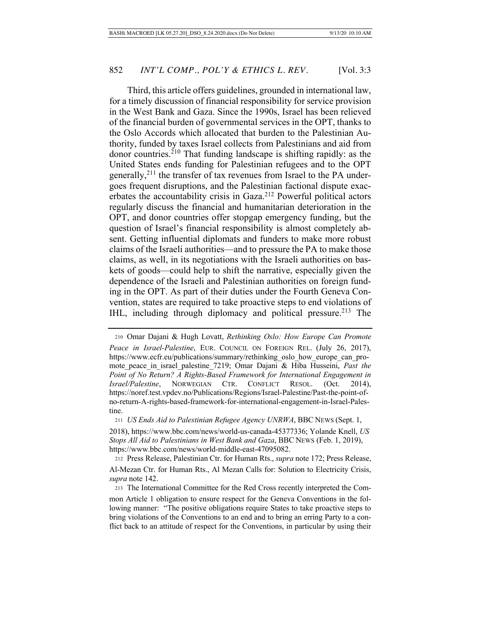Third, this article offers guidelines, grounded in international law, for a timely discussion of financial responsibility for service provision in the West Bank and Gaza. Since the 1990s, Israel has been relieved of the financial burden of governmental services in the OPT, thanks to the Oslo Accords which allocated that burden to the Palestinian Authority, funded by taxes Israel collects from Palestinians and aid from donor countries.210 That funding landscape is shifting rapidly: as the United States ends funding for Palestinian refugees and to the OPT generally,  $2^{11}$  the transfer of tax revenues from Israel to the PA undergoes frequent disruptions, and the Palestinian factional dispute exacerbates the accountability crisis in Gaza.212 Powerful political actors regularly discuss the financial and humanitarian deterioration in the OPT, and donor countries offer stopgap emergency funding, but the question of Israel's financial responsibility is almost completely absent. Getting influential diplomats and funders to make more robust claims of the Israeli authorities—and to pressure the PA to make those claims, as well, in its negotiations with the Israeli authorities on baskets of goods—could help to shift the narrative, especially given the dependence of the Israeli and Palestinian authorities on foreign funding in the OPT. As part of their duties under the Fourth Geneva Convention, states are required to take proactive steps to end violations of IHL, including through diplomacy and political pressure.<sup>213</sup> The

<sup>211</sup> *US Ends Aid to Palestinian Refugee Agency UNRWA*, BBC NEWS (Sept. 1,

 <sup>210</sup> Omar Dajani & Hugh Lovatt, *Rethinking Oslo: How Europe Can Promote Peace in Israel-Palestine*, EUR. COUNCIL ON FOREIGN REL. (July 26, 2017), https://www.ecfr.eu/publications/summary/rethinking\_oslo\_how\_europe\_can\_promote peace in israel palestine 7219; Omar Dajani & Hiba Husseini, *Past the Point of No Return? A Rights-Based Framework for International Engagement in Israel/Palestine*, NORWEGIAN CTR. CONFLICT RESOL. (Oct. 2014), https://noref.test.vpdev.no/Publications/Regions/Israel-Palestine/Past-the-point-ofno-return-A-rights-based-framework-for-international-engagement-in-Israel-Palestine.

<sup>2018),</sup> https://www.bbc.com/news/world-us-canada-45377336; Yolande Knell, *US Stops All Aid to Palestinians in West Bank and Gaza*, BBC NEWS (Feb. 1, 2019), https://www.bbc.com/news/world-middle-east-47095082.

 <sup>212</sup> Press Release, Palestinian Ctr. for Human Rts., *supra* note 172; Press Release, Al-Mezan Ctr. for Human Rts., Al Mezan Calls for: Solution to Electricity Crisis, *supra* note 142.

 <sup>213</sup> The International Committee for the Red Cross recently interpreted the Common Article 1 obligation to ensure respect for the Geneva Conventions in the following manner: "The positive obligations require States to take proactive steps to bring violations of the Conventions to an end and to bring an erring Party to a conflict back to an attitude of respect for the Conventions, in particular by using their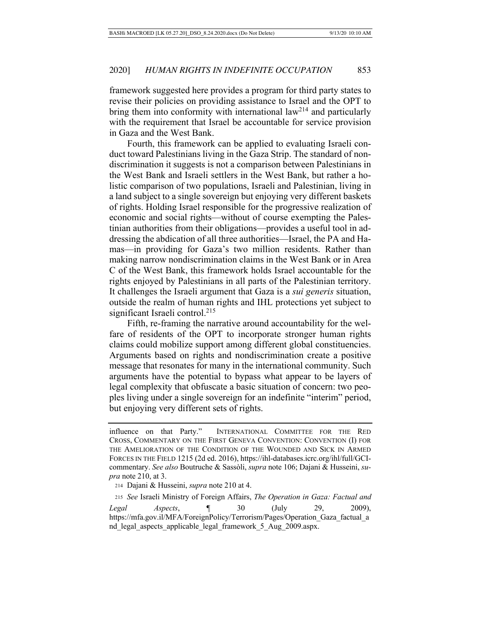framework suggested here provides a program for third party states to revise their policies on providing assistance to Israel and the OPT to bring them into conformity with international law<sup>214</sup> and particularly with the requirement that Israel be accountable for service provision in Gaza and the West Bank.

Fourth, this framework can be applied to evaluating Israeli conduct toward Palestinians living in the Gaza Strip. The standard of nondiscrimination it suggests is not a comparison between Palestinians in the West Bank and Israeli settlers in the West Bank, but rather a holistic comparison of two populations, Israeli and Palestinian, living in a land subject to a single sovereign but enjoying very different baskets of rights. Holding Israel responsible for the progressive realization of economic and social rights—without of course exempting the Palestinian authorities from their obligations—provides a useful tool in addressing the abdication of all three authorities—Israel, the PA and Hamas—in providing for Gaza's two million residents. Rather than making narrow nondiscrimination claims in the West Bank or in Area C of the West Bank, this framework holds Israel accountable for the rights enjoyed by Palestinians in all parts of the Palestinian territory. It challenges the Israeli argument that Gaza is a *sui generis* situation, outside the realm of human rights and IHL protections yet subject to significant Israeli control.<sup>215</sup>

Fifth, re-framing the narrative around accountability for the welfare of residents of the OPT to incorporate stronger human rights claims could mobilize support among different global constituencies. Arguments based on rights and nondiscrimination create a positive message that resonates for many in the international community. Such arguments have the potential to bypass what appear to be layers of legal complexity that obfuscate a basic situation of concern: two peoples living under a single sovereign for an indefinite "interim" period, but enjoying very different sets of rights.

<sup>215</sup> *See* Israeli Ministry of Foreign Affairs, *The Operation in Gaza: Factual and Legal Aspects*, ¶ 30 (July 29, 2009),

https://mfa.gov.il/MFA/ForeignPolicy/Terrorism/Pages/Operation\_Gaza\_factual\_a nd\_legal\_aspects\_applicable\_legal\_framework\_5\_Aug\_2009.aspx.

influence on that Party." INTERNATIONAL COMMITTEE FOR THE RED CROSS, COMMENTARY ON THE FIRST GENEVA CONVENTION: CONVENTION (I) FOR THE AMELIORATION OF THE CONDITION OF THE WOUNDED AND SICK IN ARMED FORCES IN THE FIELD 1215 (2d ed. 2016), https://ihl-databases.icrc.org/ihl/full/GCIcommentary. *See also* Boutruche & Sassòli, *supra* note 106; Dajani & Husseini, *supra* note 210, at 3.

 <sup>214</sup> Dajani & Husseini, *supra* note 210 at 4.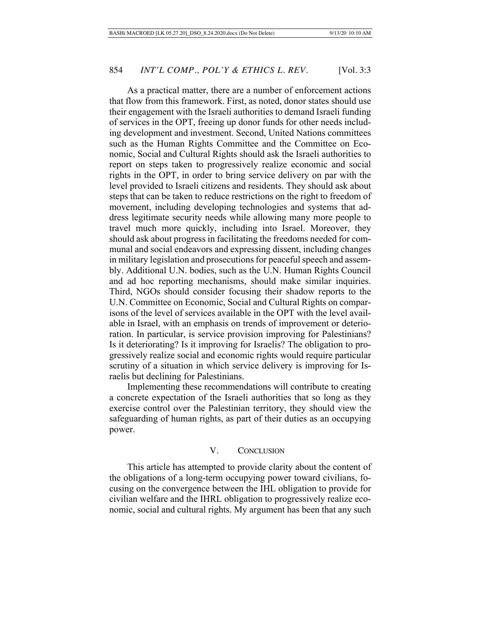As a practical matter, there are a number of enforcement actions that flow from this framework. First, as noted, donor states should use their engagement with the Israeli authorities to demand Israeli funding of services in the OPT, freeing up donor funds for other needs including development and investment. Second, United Nations committees such as the Human Rights Committee and the Committee on Economic, Social and Cultural Rights should ask the Israeli authorities to report on steps taken to progressively realize economic and social rights in the OPT, in order to bring service delivery on par with the level provided to Israeli citizens and residents. They should ask about steps that can be taken to reduce restrictions on the right to freedom of movement, including developing technologies and systems that address legitimate security needs while allowing many more people to travel much more quickly, including into Israel. Moreover, they should ask about progress in facilitating the freedoms needed for communal and social endeavors and expressing dissent, including changes in military legislation and prosecutions for peaceful speech and assembly. Additional U.N. bodies, such as the U.N. Human Rights Council and ad hoc reporting mechanisms, should make similar inquiries. Third, NGOs should consider focusing their shadow reports to the U.N. Committee on Economic, Social and Cultural Rights on comparisons of the level of services available in the OPT with the level available in Israel, with an emphasis on trends of improvement or deterioration. In particular, is service provision improving for Palestinians? Is it deteriorating? Is it improving for Israelis? The obligation to progressively realize social and economic rights would require particular scrutiny of a situation in which service delivery is improving for Israelis but declining for Palestinians.

Implementing these recommendations will contribute to creating a concrete expectation of the Israeli authorities that so long as they exercise control over the Palestinian territory, they should view the safeguarding of human rights, as part of their duties as an occupying power.

# V. CONCLUSION

This article has attempted to provide clarity about the content of the obligations of a long-term occupying power toward civilians, focusing on the convergence between the IHL obligation to provide for civilian welfare and the IHRL obligation to progressively realize economic, social and cultural rights. My argument has been that any such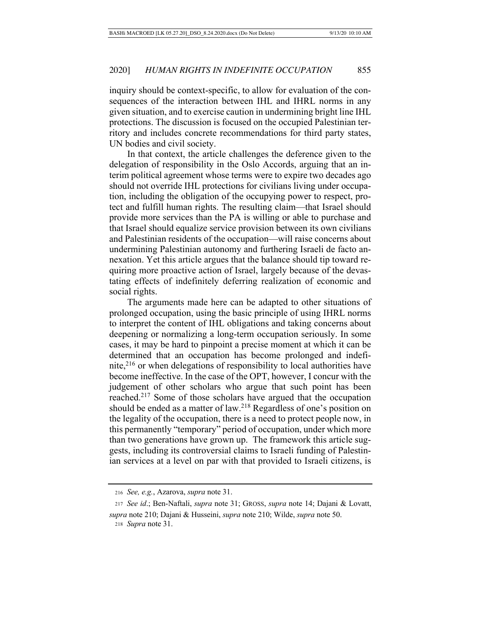inquiry should be context-specific, to allow for evaluation of the consequences of the interaction between IHL and IHRL norms in any given situation, and to exercise caution in undermining bright line IHL protections. The discussion is focused on the occupied Palestinian territory and includes concrete recommendations for third party states, UN bodies and civil society.

In that context, the article challenges the deference given to the delegation of responsibility in the Oslo Accords, arguing that an interim political agreement whose terms were to expire two decades ago should not override IHL protections for civilians living under occupation, including the obligation of the occupying power to respect, protect and fulfill human rights. The resulting claim—that Israel should provide more services than the PA is willing or able to purchase and that Israel should equalize service provision between its own civilians and Palestinian residents of the occupation—will raise concerns about undermining Palestinian autonomy and furthering Israeli de facto annexation. Yet this article argues that the balance should tip toward requiring more proactive action of Israel, largely because of the devastating effects of indefinitely deferring realization of economic and social rights.

The arguments made here can be adapted to other situations of prolonged occupation, using the basic principle of using IHRL norms to interpret the content of IHL obligations and taking concerns about deepening or normalizing a long-term occupation seriously. In some cases, it may be hard to pinpoint a precise moment at which it can be determined that an occupation has become prolonged and indefinite, $2^{16}$  or when delegations of responsibility to local authorities have become ineffective. In the case of the OPT, however, I concur with the judgement of other scholars who argue that such point has been reached.217 Some of those scholars have argued that the occupation should be ended as a matter of law.<sup>218</sup> Regardless of one's position on the legality of the occupation, there is a need to protect people now, in this permanently "temporary" period of occupation, under which more than two generations have grown up. The framework this article suggests, including its controversial claims to Israeli funding of Palestinian services at a level on par with that provided to Israeli citizens, is

<sup>216</sup> *See, e.g.*, Azarova, *supra* note 31.

<sup>217</sup> *See id*.; Ben-Naftali, *supra* note 31; GROSS, *supra* note 14; Dajani & Lovatt,

*supra* note 210; Dajani & Husseini, *supra* note 210; Wilde, *supra* note 50.

218 *Supra* note 31.